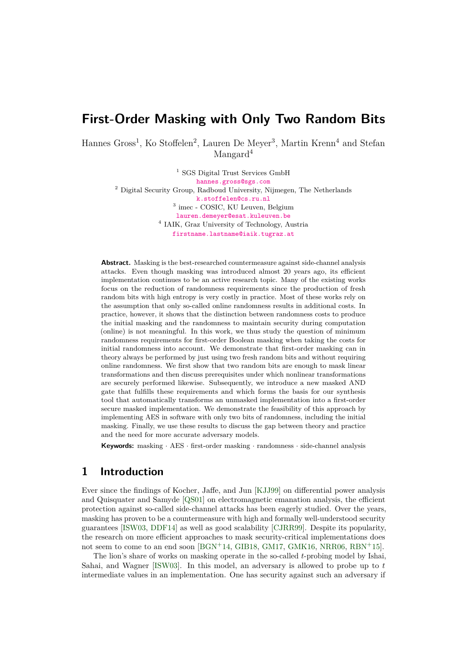# **First-Order Masking with Only Two Random Bits**

Hannes Gross<sup>1</sup>, Ko Stoffelen<sup>2</sup>, Lauren De Meyer<sup>3</sup>, Martin Krenn<sup>4</sup> and Stefan Mangard<sup>4</sup>

> $^1$  SGS Digital Trust Services GmbH [hannes.gross@sgs.com](mailto:hannes.gross@sgs.com) <sup>2</sup> Digital Security Group, Radboud University, Nijmegen, The Netherlands [k.stoffelen@cs.ru.nl](mailto:k.stoffelen@cs.ru.nl) 3 imec - COSIC, KU Leuven, Belgium [lauren.demeyer@esat.kuleuven.be](mailto:lauren.demeyer@esat.kuleuven.be) 4 IAIK, Graz University of Technology, Austria [firstname.lastname@iaik.tugraz.at](mailto:firstname.lastname@iaik.tugraz.at)

**Abstract.** Masking is the best-researched countermeasure against side-channel analysis attacks. Even though masking was introduced almost 20 years ago, its efficient implementation continues to be an active research topic. Many of the existing works focus on the reduction of randomness requirements since the production of fresh random bits with high entropy is very costly in practice. Most of these works rely on the assumption that only so-called online randomness results in additional costs. In practice, however, it shows that the distinction between randomness costs to produce the initial masking and the randomness to maintain security during computation (online) is not meaningful. In this work, we thus study the question of minimum randomness requirements for first-order Boolean masking when taking the costs for initial randomness into account. We demonstrate that first-order masking can in theory always be performed by just using two fresh random bits and without requiring online randomness. We first show that two random bits are enough to mask linear transformations and then discuss prerequisites under which nonlinear transformations are securely performed likewise. Subsequently, we introduce a new masked AND gate that fulfills these requirements and which forms the basis for our synthesis tool that automatically transforms an unmasked implementation into a first-order secure masked implementation. We demonstrate the feasibility of this approach by implementing AES in software with only two bits of randomness, including the initial masking. Finally, we use these results to discuss the gap between theory and practice and the need for more accurate adversary models.

**Keywords:** masking · AES · first-order masking · randomness · side-channel analysis

# **1 Introduction**

Ever since the findings of Kocher, Jaffe, and Jun [\[KJJ99\]](#page-23-0) on differential power analysis and Quisquater and Samyde [\[QS01\]](#page-24-0) on electromagnetic emanation analysis, the efficient protection against so-called side-channel attacks has been eagerly studied. Over the years, masking has proven to be a countermeasure with high and formally well-understood security guarantees [\[ISW03,](#page-23-1) [DDF14\]](#page-23-2) as well as good scalability [\[CJRR99\]](#page-22-0). Despite its popularity, the research on more efficient approaches to mask security-critical implementations does not seem to come to an end soon [\[BGN](#page-22-1)<sup>+</sup>14, [GIB18,](#page-23-3) [GM17,](#page-23-4) [GMK16,](#page-23-5) [NRR06,](#page-24-1) [RBN](#page-24-2)<sup>+</sup>15].

The lion's share of works on masking operate in the so-called *t*-probing model by Ishai, Sahai, and Wagner [\[ISW03\]](#page-23-1). In this model, an adversary is allowed to probe up to *t* intermediate values in an implementation. One has security against such an adversary if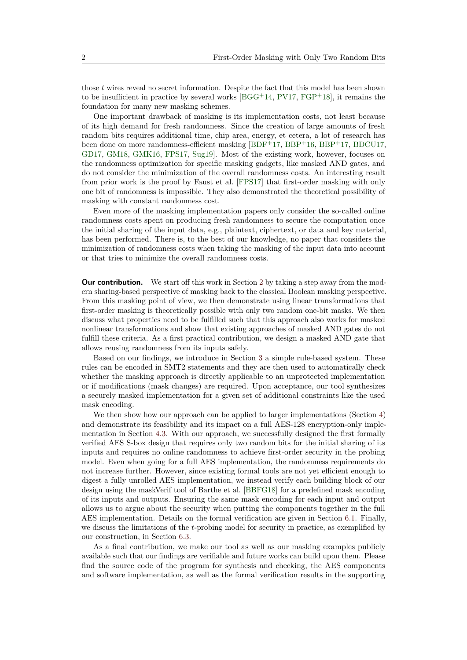those *t* wires reveal no secret information. Despite the fact that this model has been shown to be insufficient in practice by several works  $[BGG<sup>+</sup>14, PV17, FGP<sup>+</sup>18]$  $[BGG<sup>+</sup>14, PV17, FGP<sup>+</sup>18]$  $[BGG<sup>+</sup>14, PV17, FGP<sup>+</sup>18]$  $[BGG<sup>+</sup>14, PV17, FGP<sup>+</sup>18]$  $[BGG<sup>+</sup>14, PV17, FGP<sup>+</sup>18]$  $[BGG<sup>+</sup>14, PV17, FGP<sup>+</sup>18]$ , it remains the foundation for many new masking schemes.

One important drawback of masking is its implementation costs, not least because of its high demand for fresh randomness. Since the creation of large amounts of fresh random bits requires additional time, chip area, energy, et cetera, a lot of research has been done on more randomness-efficient masking [\[BDF](#page-21-0)<sup>+</sup>17, [BBP](#page-21-1)<sup>+</sup>16, [BBP](#page-21-2)<sup>+</sup>17, [BDCU17,](#page-21-3) [GD17,](#page-23-7) [GM18,](#page-23-8) [GMK16,](#page-23-5) [FPS17,](#page-23-9) [Sug19\]](#page-24-4). Most of the existing work, however, focuses on the randomness optimization for specific masking gadgets, like masked AND gates, and do not consider the minimization of the overall randomness costs. An interesting result from prior work is the proof by Faust et al. [\[FPS17\]](#page-23-9) that first-order masking with only one bit of randomness is impossible. They also demonstrated the theoretical possibility of masking with constant randomness cost.

Even more of the masking implementation papers only consider the so-called online randomness costs spent on producing fresh randomness to secure the computation once the initial sharing of the input data, e.g., plaintext, ciphertext, or data and key material, has been performed. There is, to the best of our knowledge, no paper that considers the minimization of randomness costs when taking the masking of the input data into account or that tries to minimize the overall randomness costs.

**Our contribution.** We start off this work in Section [2](#page-2-0) by taking a step away from the modern sharing-based perspective of masking back to the classical Boolean masking perspective. From this masking point of view, we then demonstrate using linear transformations that first-order masking is theoretically possible with only two random one-bit masks. We then discuss what properties need to be fulfilled such that this approach also works for masked nonlinear transformations and show that existing approaches of masked AND gates do not fulfill these criteria. As a first practical contribution, we design a masked AND gate that allows reusing randomness from its inputs safely.

Based on our findings, we introduce in Section [3](#page-8-0) a simple rule-based system. These rules can be encoded in SMT2 statements and they are then used to automatically check whether the masking approach is directly applicable to an unprotected implementation or if modifications (mask changes) are required. Upon acceptance, our tool synthesizes a securely masked implementation for a given set of additional constraints like the used mask encoding.

We then show how our approach can be applied to larger implementations (Section [4\)](#page-10-0) and demonstrate its feasibility and its impact on a full AES-128 encryption-only implementation in Section [4.3.](#page-12-0) With our approach, we successfully designed the first formally verified AES S-box design that requires only two random bits for the initial sharing of its inputs and requires no online randomness to achieve first-order security in the probing model. Even when going for a full AES implementation, the randomness requirements do not increase further. However, since existing formal tools are not yet efficient enough to digest a fully unrolled AES implementation, we instead verify each building block of our design using the maskVerif tool of Barthe et al. [\[BBFG18\]](#page-21-4) for a predefined mask encoding of its inputs and outputs. Ensuring the same mask encoding for each input and output allows us to argue about the security when putting the components together in the full AES implementation. Details on the formal verification are given in Section [6.1.](#page-16-0) Finally, we discuss the limitations of the *t*-probing model for security in practice, as exemplified by our construction, in Section [6.3.](#page-19-0)

As a final contribution, we make our tool as well as our masking examples publicly available such that our findings are verifiable and future works can build upon them. Please find the source code of the program for synthesis and checking, the AES components and software implementation, as well as the formal verification results in the supporting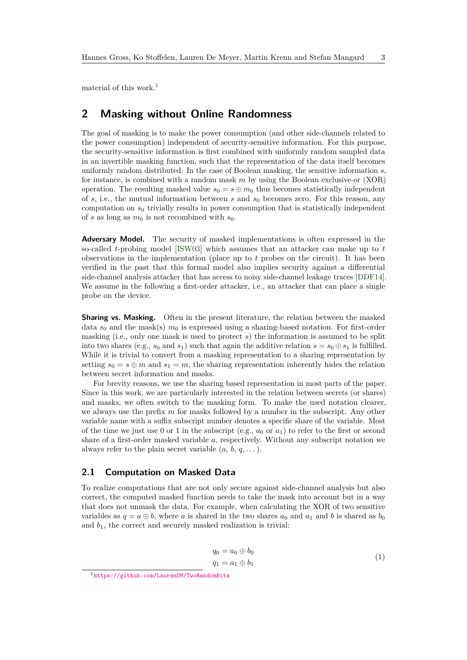material of this work.[1](#page-2-1)

# <span id="page-2-0"></span>**2 Masking without Online Randomness**

The goal of masking is to make the power consumption (and other side-channels related to the power consumption) independent of security-sensitive information. For this purpose, the security-sensitive information is first combined with uniformly random sampled data in an invertible masking function, such that the representation of the data itself becomes uniformly random distributed. In the case of Boolean masking, the sensitive information *s*, for instance, is combined with a random mask *m* by using the Boolean exclusive-or (XOR) operation. The resulting masked value  $s_0 = s \oplus m_0$  thus becomes statistically independent of *s*, i.e., the mutual information between *s* and *s*<sup>0</sup> becomes zero. For this reason, any computation on *s*<sup>0</sup> trivially results in power consumption that is statistically independent of *s* as long as  $m_0$  is not recombined with  $s_0$ .

**Adversary Model.** The security of masked implementations is often expressed in the so-called *t*-probing model [\[ISW03\]](#page-23-1) which assumes that an attacker can make up to *t* observations in the implementation (place up to *t* probes on the circuit). It has been verified in the past that this formal model also implies security against a differential side-channel analysis attacker that has access to noisy side-channel leakage traces [\[DDF14\]](#page-23-2). We assume in the following a first-order attacker, i.e., an attacker that can place a single probe on the device.

**Sharing vs. Masking.** Often in the present literature, the relation between the masked data  $s_0$  and the mask(s)  $m_0$  is expressed using a sharing-based notation. For first-order masking (i.e., only one mask is used to protect *s*) the information is assumed to be split into two shares (e.g.,  $s_0$  and  $s_1$ ) such that again the additive relation  $s = s_0 \oplus s_1$  is fulfilled. While it is trivial to convert from a masking representation to a sharing representation by setting  $s_0 = s \oplus m$  and  $s_1 = m$ , the sharing representation inherently hides the relation between secret information and masks.

For brevity reasons, we use the sharing based representation in most parts of the paper. Since in this work, we are particularly interested in the relation between secrets (or shares) and masks, we often switch to the masking form. To make the used notation clearer, we always use the prefix *m* for masks followed by a number in the subscript. Any other variable name with a suffix subscript number denotes a specific share of the variable. Most of the time we just use 0 or 1 in the subscript (e.g.,  $a_0$  or  $a_1$ ) to refer to the first or second share of a first-order masked variable *a*, respectively. Without any subscript notation we always refer to the plain secret variable  $(a, b, q, \dots)$ .

#### **2.1 Computation on Masked Data**

To realize computations that are not only secure against side-channel analysis but also correct, the computed masked function needs to take the mask into account but in a way that does not unmask the data. For example, when calculating the XOR of two sensitive variables as  $q = a \oplus b$ , where *a* is shared in the two shares  $a_0$  and  $a_1$  and *b* is shared as  $b_0$ and  $b_1$ , the correct and securely masked realization is trivial:

$$
q_0 = a_0 \oplus b_0
$$
  
\n
$$
q_1 = a_1 \oplus b_1
$$
\n(1)

<span id="page-2-2"></span><span id="page-2-1"></span><sup>1</sup><https://github.com/LaurenDM/TwoRandomBits>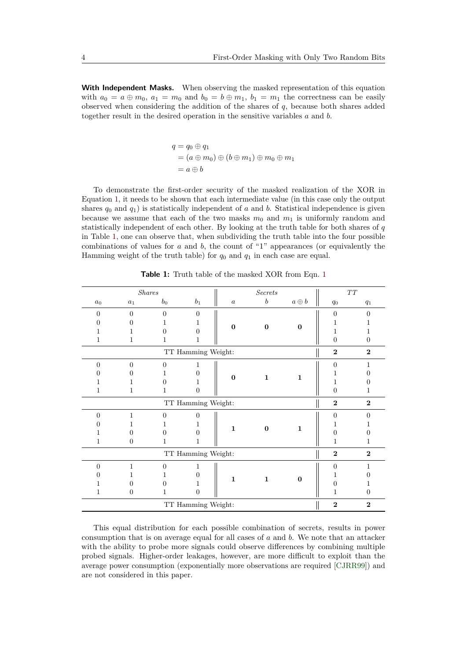**With Independent Masks.** When observing the masked representation of this equation with  $a_0 = a \oplus m_0$ ,  $a_1 = m_0$  and  $b_0 = b \oplus m_1$ ,  $b_1 = m_1$  the correctness can be easily observed when considering the addition of the shares of *q*, because both shares added together result in the desired operation in the sensitive variables *a* and *b*.

> $q = q_0 \oplus q_1$  $=(a \oplus m_0) \oplus (b \oplus m_1) \oplus m_0 \oplus m_1$  $= a \oplus b$

To demonstrate the first-order security of the masked realization of the XOR in Equation [1,](#page-2-2) it needs to be shown that each intermediate value (in this case only the output shares  $q_0$  and  $q_1$ ) is statistically independent of *a* and *b*. Statistical independence is given because we assume that each of the two masks  $m_0$  and  $m_1$  is uniformly random and statistically independent of each other. By looking at the truth table for both shares of *q* in Table [1,](#page-3-0) one can observe that, when subdividing the truth table into the four possible combinations of values for *a* and *b*, the count of "1" appearances (or equivalently the Hamming weight of the truth table) for *q*<sup>0</sup> and *q*<sup>1</sup> in each case are equal.

<span id="page-3-0"></span>

|                |                    | <b>Shares</b>  |                    |                  | <b>Secrets</b>   |              |                  | $\cal T\cal T$ |  |  |  |
|----------------|--------------------|----------------|--------------------|------------------|------------------|--------------|------------------|----------------|--|--|--|
| $a_0$          | $a_1$              | $b_0$          | $\mathfrak{b}_1$   | $\boldsymbol{a}$ | $\boldsymbol{b}$ | $a \oplus b$ | $q_{\rm 0}$      | $q_1$          |  |  |  |
| $\overline{0}$ | $\overline{0}$     | $\overline{0}$ | $\Omega$           |                  |                  |              | $\overline{0}$   | $\Omega$       |  |  |  |
| 0              | $\Omega$           |                | 1                  | $\bf{0}$         | $\bf{0}$         | $\bf{0}$     | 1                |                |  |  |  |
|                | 1                  | 0              | 0                  |                  |                  |              | 1                | 1              |  |  |  |
| 1              | 1                  | 1              | 1                  |                  |                  |              | $\boldsymbol{0}$ | $\overline{0}$ |  |  |  |
|                | $\overline{2}$     | $\bf{2}$       |                    |                  |                  |              |                  |                |  |  |  |
| $\overline{0}$ | $\Omega$           | $\Omega$       | 1                  |                  | $\mathbf{1}$     |              | $\theta$         | 1              |  |  |  |
| 0              | $\Omega$           |                | $\Omega$           | $\bf{0}$         |                  | $\mathbf 1$  |                  | $\Omega$       |  |  |  |
|                | 1                  | $\Omega$       | 1                  |                  |                  |              | 1                | $\mathbf{0}$   |  |  |  |
| 1              | 1                  | 1              | $\Omega$           |                  |                  |              | $\overline{0}$   | 1              |  |  |  |
|                |                    |                | TT Hamming Weight: |                  |                  |              | $\overline{2}$   | $\mathbf{2}$   |  |  |  |
| $\overline{0}$ | 1                  | $\theta$       | $\Omega$           |                  | $\bf{0}$         |              | $\theta$         | $\Omega$       |  |  |  |
| 0              | 1                  |                | 1                  | $\mathbf{1}$     |                  | $\mathbf{1}$ | 1                | 1              |  |  |  |
| 1              | $\Omega$           | $\Omega$       | $\Omega$           |                  |                  |              | $\overline{0}$   | $\mathbf{0}$   |  |  |  |
| 1              | $\boldsymbol{0}$   | 1              | 1                  |                  |                  |              | 1                | 1              |  |  |  |
|                |                    |                | TT Hamming Weight: |                  |                  |              | $\overline{2}$   | $\mathbf{2}$   |  |  |  |
| $\overline{0}$ | 1                  | $\overline{0}$ | 1                  |                  |                  |              | $\overline{0}$   | 1              |  |  |  |
| 0              | 1                  |                | 0                  | $\mathbf{1}$     | $\mathbf{1}$     | $\bf{0}$     | 1                | $\mathbf{0}$   |  |  |  |
|                | $\theta$           | 0              | 1                  |                  |                  |              | $\overline{0}$   | 1              |  |  |  |
| 1              | $\overline{0}$     | 1              | $\overline{0}$     |                  |                  |              | 1                | $\overline{0}$ |  |  |  |
|                | TT Hamming Weight: |                |                    |                  |                  |              |                  |                |  |  |  |

**Table 1:** Truth table of the masked XOR from Eqn. [1](#page-2-2)

This equal distribution for each possible combination of secrets, results in power consumption that is on average equal for all cases of *a* and *b*. We note that an attacker with the ability to probe more signals could observe differences by combining multiple probed signals. Higher-order leakages, however, are more difficult to exploit than the average power consumption (exponentially more observations are required [\[CJRR99\]](#page-22-0)) and are not considered in this paper.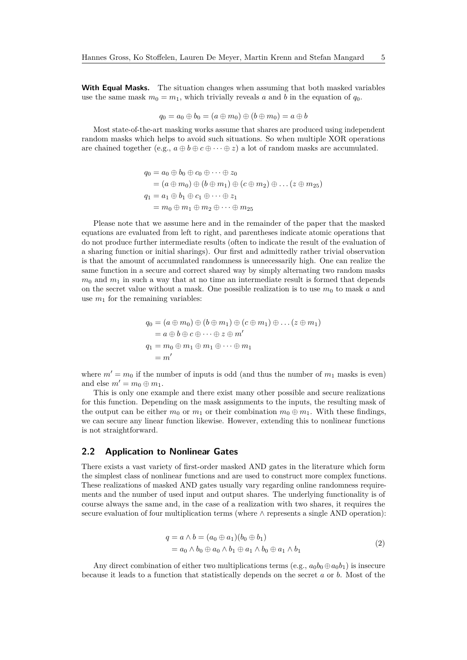**With Equal Masks.** The situation changes when assuming that both masked variables use the same mask  $m_0 = m_1$ , which trivially reveals *a* and *b* in the equation of  $q_0$ .

$$
q_0=a_0\oplus b_0=(a\oplus m_0)\oplus (b\oplus m_0)=a\oplus b
$$

Most state-of-the-art masking works assume that shares are produced using independent random masks which helps to avoid such situations. So when multiple XOR operations are chained together (e.g.,  $a \oplus b \oplus c \oplus \cdots \oplus z$ ) a lot of random masks are accumulated.

$$
q_0 = a_0 \oplus b_0 \oplus c_0 \oplus \cdots \oplus z_0
$$
  
=  $(a \oplus m_0) \oplus (b \oplus m_1) \oplus (c \oplus m_2) \oplus \ldots (z \oplus m_{25})$   

$$
q_1 = a_1 \oplus b_1 \oplus c_1 \oplus \cdots \oplus z_1
$$
  
=  $m_0 \oplus m_1 \oplus m_2 \oplus \cdots \oplus m_{25}$ 

Please note that we assume here and in the remainder of the paper that the masked equations are evaluated from left to right, and parentheses indicate atomic operations that do not produce further intermediate results (often to indicate the result of the evaluation of a sharing function or initial sharings). Our first and admittedly rather trivial observation is that the amount of accumulated randomness is unnecessarily high. One can realize the same function in a secure and correct shared way by simply alternating two random masks  $m_0$  and  $m_1$  in such a way that at no time an intermediate result is formed that depends on the secret value without a mask. One possible realization is to use  $m_0$  to mask  $a$  and use  $m_1$  for the remaining variables:

$$
q_0 = (a \oplus m_0) \oplus (b \oplus m_1) \oplus (c \oplus m_1) \oplus \dots (z \oplus m_1)
$$
  
=  $a \oplus b \oplus c \oplus \dots \oplus z \oplus m'$   

$$
q_1 = m_0 \oplus m_1 \oplus m_1 \oplus \dots \oplus m_1
$$
  
=  $m'$ 

where  $m' = m_0$  if the number of inputs is odd (and thus the number of  $m_1$  masks is even) and else  $m' = m_0 \oplus m_1$ .

This is only one example and there exist many other possible and secure realizations for this function. Depending on the mask assignments to the inputs, the resulting mask of the output can be either  $m_0$  or  $m_1$  or their combination  $m_0 \oplus m_1$ . With these findings, we can secure any linear function likewise. However, extending this to nonlinear functions is not straightforward.

## **2.2 Application to Nonlinear Gates**

There exists a vast variety of first-order masked AND gates in the literature which form the simplest class of nonlinear functions and are used to construct more complex functions. These realizations of masked AND gates usually vary regarding online randomness requirements and the number of used input and output shares. The underlying functionality is of course always the same and, in the case of a realization with two shares, it requires the secure evaluation of four multiplication terms (where ∧ represents a single AND operation):

$$
q = a \wedge b = (a_0 \oplus a_1)(b_0 \oplus b_1)
$$
  
=  $a_0 \wedge b_0 \oplus a_0 \wedge b_1 \oplus a_1 \wedge b_0 \oplus a_1 \wedge b_1$  (2)

<span id="page-4-0"></span>Any direct combination of either two multiplications terms (e.g.,  $a_0b_0 \oplus a_0b_1$ ) is insecure because it leads to a function that statistically depends on the secret *a* or *b*. Most of the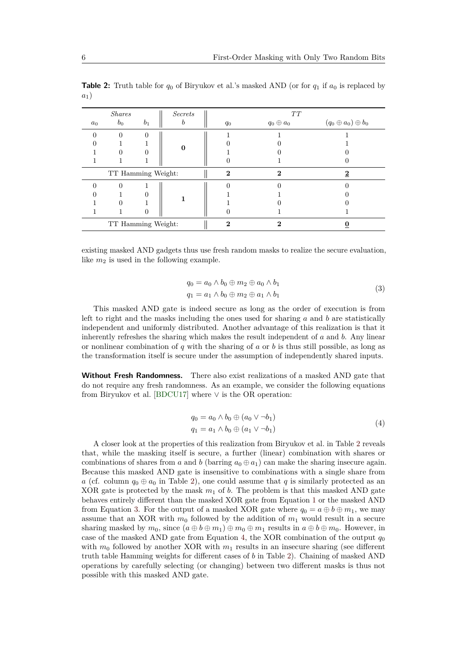|                    | <i>Shares</i>      |       | Secrets |  |              | TT              |                               |
|--------------------|--------------------|-------|---------|--|--------------|-----------------|-------------------------------|
| $a_0$              | $b_0$              | $b_1$ | b       |  | $q_0$        | $q_0\oplus a_0$ | $(q_0 \oplus a_0) \oplus b_0$ |
| $\Omega$           | $\Omega$           | 0     |         |  |              |                 |                               |
|                    |                    |       |         |  |              |                 |                               |
|                    |                    | 0     |         |  |              |                 |                               |
|                    |                    |       |         |  |              |                 |                               |
| TT Hamming Weight: |                    |       |         |  | $\mathbf{2}$ | $\mathbf{2}$    |                               |
|                    | $\Omega$           |       |         |  |              |                 |                               |
|                    |                    | 0     |         |  |              |                 |                               |
|                    |                    |       |         |  |              |                 |                               |
|                    |                    | 0     |         |  |              |                 |                               |
|                    | TT Hamming Weight: |       |         |  | 2            |                 |                               |

<span id="page-5-0"></span>**Table 2:** Truth table for  $q_0$  of Biryukov et al.'s masked AND (or for  $q_1$  if  $a_0$  is replaced by *a*1)

existing masked AND gadgets thus use fresh random masks to realize the secure evaluation, like  $m_2$  is used in the following example.

$$
q_0 = a_0 \wedge b_0 \oplus m_2 \oplus a_0 \wedge b_1
$$
  
\n
$$
q_1 = a_1 \wedge b_0 \oplus m_2 \oplus a_1 \wedge b_1
$$
\n(3)

<span id="page-5-1"></span>This masked AND gate is indeed secure as long as the order of execution is from left to right and the masks including the ones used for sharing *a* and *b* are statistically independent and uniformly distributed. Another advantage of this realization is that it inherently refreshes the sharing which makes the result independent of *a* and *b*. Any linear or nonlinear combination of *q* with the sharing of *a* or *b* is thus still possible, as long as the transformation itself is secure under the assumption of independently shared inputs.

**Without Fresh Randomness.** There also exist realizations of a masked AND gate that do not require any fresh randomness. As an example, we consider the following equations from Biryukov et al. [\[BDCU17\]](#page-21-3) where  $\vee$  is the OR operation:

$$
q_0 = a_0 \wedge b_0 \oplus (a_0 \vee \neg b_1)
$$
  
\n
$$
q_1 = a_1 \wedge b_0 \oplus (a_1 \vee \neg b_1)
$$
\n
$$
(4)
$$

<span id="page-5-2"></span>A closer look at the properties of this realization from Biryukov et al. in Table [2](#page-5-0) reveals that, while the masking itself is secure, a further (linear) combination with shares or combinations of shares from *a* and *b* (barring  $a_0 \oplus a_1$ ) can make the sharing insecure again. Because this masked AND gate is insensitive to combinations with a single share from *a* (cf. column  $q_0 \oplus a_0$  in Table [2\)](#page-5-0), one could assume that *q* is similarly protected as an XOR gate is protected by the mask  $m_1$  of  $b$ . The problem is that this masked AND gate behaves entirely different than the masked XOR gate from Equation [1](#page-2-2) or the masked AND from Equation [3.](#page-5-1) For the output of a masked XOR gate where  $q_0 = a \oplus b \oplus m_1$ , we may assume that an XOR with  $m_0$  followed by the addition of  $m_1$  would result in a secure sharing masked by  $m_0$ , since  $(a \oplus b \oplus m_1) \oplus m_0 \oplus m_1$  results in  $a \oplus b \oplus m_0$ . However, in case of the masked AND gate from Equation [4,](#page-5-2) the XOR combination of the output  $q_0$ with  $m_0$  followed by another XOR with  $m_1$  results in an insecure sharing (see different truth table Hamming weights for different cases of *b* in Table [2\)](#page-5-0). Chaining of masked AND operations by carefully selecting (or changing) between two different masks is thus not possible with this masked AND gate.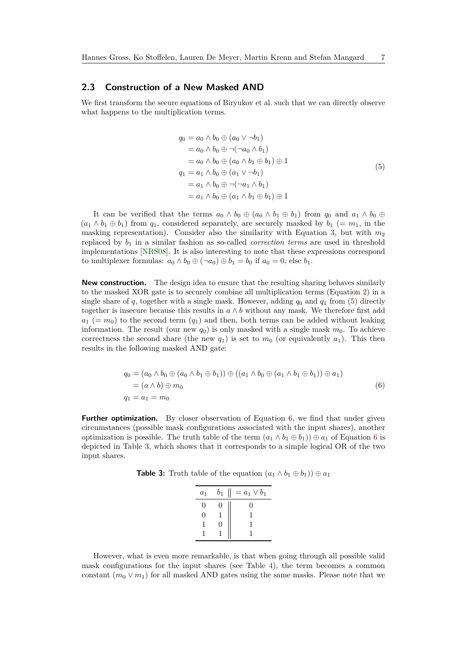### **2.3 Construction of a New Masked AND**

We first transform the secure equations of Biryukov et al. such that we can directly observe what happens to the multiplication terms.

$$
q_0 = a_0 \wedge b_0 \oplus (a_0 \vee \neg b_1)
$$
  
\n
$$
= a_0 \wedge b_0 \oplus \neg(\neg a_0 \wedge b_1)
$$
  
\n
$$
= a_0 \wedge b_0 \oplus (a_0 \wedge b_1 \oplus b_1) \oplus 1
$$
  
\n
$$
q_1 = a_1 \wedge b_0 \oplus (a_1 \vee \neg b_1)
$$
  
\n
$$
= a_1 \wedge b_0 \oplus \neg(\neg a_1 \wedge b_1)
$$
  
\n
$$
= a_1 \wedge b_0 \oplus (a_1 \wedge b_1 \oplus b_1) \oplus 1
$$
\n(5)

<span id="page-6-0"></span>It can be verified that the terms  $a_0 \wedge b_0 \oplus (a_0 \wedge b_1 \oplus b_1)$  from  $q_0$  and  $a_1 \wedge b_0 \oplus$  $(a_1 \wedge b_1 \oplus b_1)$  from  $q_1$ , considered separately, are securely masked by  $b_1$  (=  $m_1$ , in the masking representation). Consider also the similarity with Equation [3,](#page-5-1) but with  $m_2$ replaced by *b*<sup>1</sup> in a similar fashion as so-called *correction terms* are used in threshold implementations [\[NRS08\]](#page-24-5). It is also interesting to note that these expressions correspond to multiplexer formulas:  $a_0 \wedge b_0 \oplus (\neg a_0) \oplus b_1 = b_0$  if  $a_0 = 0$ , else  $b_1$ .

**New construction.** The design idea to ensure that the resulting sharing behaves similarly to the masked XOR gate is to securely combine all multiplication terms (Equation [2\)](#page-4-0) in a single share of  $q$ , together with a single mask. However, adding  $q_0$  and  $q_1$  from [\(5\)](#page-6-0) directly together is insecure because this results in  $a \wedge b$  without any mask. We therefore first add  $a_1$  (=  $m_0$ ) to the second term  $(q_1)$  and then, both terms can be added without leaking information. The result (our new  $q_0$ ) is only masked with a single mask  $m_0$ . To achieve correctness the second share (the new  $q_1$ ) is set to  $m_0$  (or equivalently  $a_1$ ). This then results in the following masked AND gate:

$$
q_0 = (a_0 \wedge b_0 \oplus (a_0 \wedge b_1 \oplus b_1)) \oplus ((a_1 \wedge b_0 \oplus (a_1 \wedge b_1 \oplus b_1)) \oplus a_1)
$$
  
=  $(a \wedge b) \oplus m_0$   
 $q_1 = a_1 = m_0$  (6)

<span id="page-6-1"></span>**Further optimization.** By closer observation of Equation [6,](#page-6-1) we find that under given circumstances (possible mask configurations associated with the input shares), another optimization is possible. The truth table of the term  $(a_1 \wedge b_1 \oplus b_1) \oplus a_1$  of Equation [6](#page-6-1) is depicted in Table [3,](#page-6-2) which shows that it corresponds to a simple logical OR of the two input shares.

<span id="page-6-2"></span>**Table 3:** Truth table of the equation  $(a_1 \wedge b_1 \oplus b_1) \oplus a_1$ 

| a <sub>1</sub>    | $b_1$ | $= a_1 \vee b_1$ |
|-------------------|-------|------------------|
| 0                 | 0     | 0                |
| $\mathbf{\Omega}$ |       |                  |
|                   | 0     |                  |
|                   |       |                  |

However, what is even more remarkable, is that when going through all possible valid mask configurations for the input shares (see Table [4\)](#page-7-0), the term becomes a common constant  $(m_0 \vee m_1)$  for all masked AND gates using the same masks. Please note that we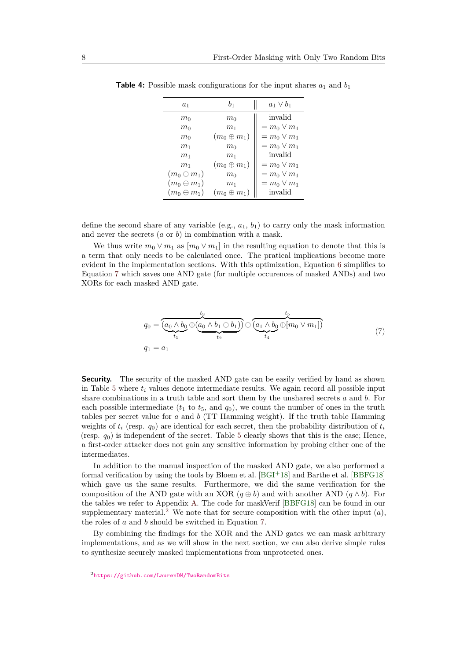| $a_1$              | b <sub>1</sub>    | $a_1 \vee b_1$   |
|--------------------|-------------------|------------------|
| $m_0$              | $m_0$             | invalid          |
| $m_0$              | $m_1$             | $= m_0 \vee m_1$ |
| m <sub>0</sub>     | $(m_0\oplus m_1)$ | $= m_0 \vee m_1$ |
| m <sub>1</sub>     | m <sub>0</sub>    | $= m_0 \vee m_1$ |
| m <sub>1</sub>     | m <sub>1</sub>    | invalid          |
| m <sub>1</sub>     | $(m_0\oplus m_1)$ | $= m_0 \vee m_1$ |
| $(m_0\oplus m_1)$  | m <sub>0</sub>    | $= m_0 \vee m_1$ |
| $(m_0 \oplus m_1)$ | m <sub>1</sub>    | $= m_0 \vee m_1$ |
| $(m_0\oplus m_1)$  | $(m_0\oplus m_1)$ | invalid          |

<span id="page-7-0"></span>**Table 4:** Possible mask configurations for the input shares  $a_1$  and  $b_1$ 

define the second share of any variable (e.g., *a*1, *b*1) to carry only the mask information and never the secrets (*a* or *b*) in combination with a mask.

We thus write  $m_0 \vee m_1$  as  $[m_0 \vee m_1]$  in the resulting equation to denote that this is a term that only needs to be calculated once. The pratical implications become more evident in the implementation sections. With this optimization, Equation [6](#page-6-1) simplifies to Equation [7](#page-7-1) which saves one AND gate (for multiple occurences of masked ANDs) and two XORs for each masked AND gate.

$$
q_0 = \underbrace{(a_0 \wedge b_0 \oplus (a_0 \wedge b_1 \oplus b_1))}_{t_1} \oplus \underbrace{(a_1 \wedge b_0 \oplus [m_0 \vee m_1])}_{t_4} \tag{7}
$$
\n
$$
q_1 = a_1
$$

<span id="page-7-1"></span>**Security.** The security of the masked AND gate can be easily verified by hand as shown in Table [5](#page-8-1) where *t<sup>i</sup>* values denote intermediate results. We again record all possible input share combinations in a truth table and sort them by the unshared secrets *a* and *b*. For each possible intermediate  $(t_1$  to  $t_5$ , and  $q_0$ ), we count the number of ones in the truth tables per secret value for *a* and *b* (TT Hamming weight). If the truth table Hamming weights of  $t_i$  (resp.  $q_0$ ) are identical for each secret, then the probability distribution of  $t_i$ (resp.  $q_0$ ) is independent of the secret. Table [5](#page-8-1) clearly shows that this is the case; Hence, a first-order attacker does not gain any sensitive information by probing either one of the intermediates.

In addition to the manual inspection of the masked AND gate, we also performed a formal verification by using the tools by Bloem et al. [\[BGI](#page-22-3)<sup>+</sup>18] and Barthe et al. [\[BBFG18\]](#page-21-4) which gave us the same results. Furthermore, we did the same verification for the composition of the AND gate with an XOR  $(q \oplus b)$  and with another AND  $(q \wedge b)$ . For the tables we refer to Appendix [A.](#page-26-0) The code for maskVerif [\[BBFG18\]](#page-21-4) can be found in our supplementary material.<sup>[2](#page-7-2)</sup> We note that for secure composition with the other input  $(a)$ , the roles of *a* and *b* should be switched in Equation [7.](#page-7-1)

By combining the findings for the XOR and the AND gates we can mask arbitrary implementations, and as we will show in the next section, we can also derive simple rules to synthesize securely masked implementations from unprotected ones.

<span id="page-7-2"></span><sup>2</sup><https://github.com/LaurenDM/TwoRandomBits>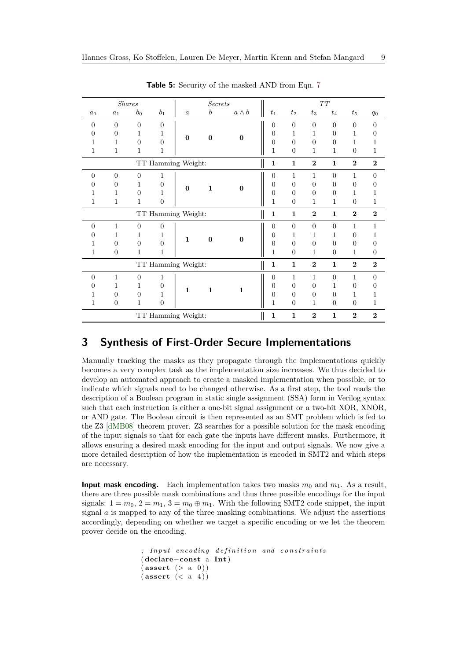<span id="page-8-1"></span>

|                    |                    | <b>Shares</b>  |                  |                    | <b>Secrets</b>   |              |                |                  |                | TT             |                |                  |
|--------------------|--------------------|----------------|------------------|--------------------|------------------|--------------|----------------|------------------|----------------|----------------|----------------|------------------|
| $a_0$              | $a_1$              | $b_0$          | $b_1$            | $\boldsymbol{a}$   | $\boldsymbol{b}$ | $a \wedge b$ | $t_{1}$        | $t_2$            | $t_3$          | $t_4$          | $t_{5}$        | $q_0$            |
| $\overline{0}$     | $\overline{0}$     | $\overline{0}$ | $\boldsymbol{0}$ |                    |                  |              | $\theta$       | $\overline{0}$   | $\theta$       | $\overline{0}$ | $\Omega$       | $\overline{0}$   |
| $\Omega$           | $\Omega$           | 1              | 1                | $\bf{0}$           |                  | $\mathbf{0}$ | $\theta$       | 1                | 1              | $\theta$       | 1              | $\theta$         |
| 1                  | 1                  | $\theta$       | $\boldsymbol{0}$ |                    | $\bf{0}$         |              | $\overline{0}$ | $\overline{0}$   | $\theta$       | $\theta$       | 1              | 1                |
| 1                  | 1                  | 1              | 1                |                    |                  |              | 1              | $\overline{0}$   | 1              | 1              | $\theta$       | 1                |
| TT Hamming Weight: |                    |                |                  |                    |                  |              | $\mathbf{1}$   | $\mathbf{1}$     | $\mathbf{2}$   | $\mathbf{1}$   | $\overline{2}$ | $\overline{2}$   |
| $\Omega$           | $\Omega$           | $\Omega$       | 1                |                    |                  |              | $\overline{0}$ | 1                | $\mathbf{1}$   | $\theta$       | $\mathbf{1}$   | $\overline{0}$   |
| $\Omega$           | $\overline{0}$     | 1              | $\overline{0}$   |                    | $\mathbf{1}$     |              | $\theta$       | $\theta$         | $\theta$       | $\theta$       | $\theta$       | $\overline{0}$   |
| 1                  | 1                  | $\Omega$       | 1                | $\bf{0}$           |                  | $\mathbf{0}$ | $\theta$       | $\overline{0}$   | $\Omega$       | $\overline{0}$ | 1              | 1                |
| 1                  | 1                  | 1              | $\overline{0}$   |                    |                  |              | 1              | $\theta$         | $\mathbf{1}$   | 1              | $\theta$       | 1                |
|                    |                    |                |                  | TT Hamming Weight: |                  |              | $\mathbf{1}$   | $\mathbf{1}$     | $\overline{2}$ | $\mathbf{1}$   | $\overline{2}$ | $\overline{2}$   |
| $\overline{0}$     | 1                  | $\overline{0}$ | $\boldsymbol{0}$ |                    |                  |              | $\theta$       | $\overline{0}$   | $\Omega$       | $\overline{0}$ | 1              | 1                |
| 0                  | 1                  | 1              | 1                | $\mathbf{1}$       | $\bf{0}$         | $\mathbf{0}$ | $\Omega$       | 1                | $\mathbf{1}$   | 1              | $\theta$       | 1                |
|                    | $\overline{0}$     | $\theta$       | $\overline{0}$   |                    |                  |              | $\theta$       | $\overline{0}$   | $\Omega$       | $\overline{0}$ | $\theta$       | $\theta$         |
| 1                  | $\boldsymbol{0}$   | 1              | 1                |                    |                  |              | 1              | $\boldsymbol{0}$ | $\mathbf{1}$   | $\overline{0}$ | $\mathbf{1}$   | $\boldsymbol{0}$ |
|                    |                    |                |                  | TT Hamming Weight: |                  |              | $\mathbf{1}$   | $\mathbf{1}$     | $\overline{2}$ | $\mathbf{1}$   | $\overline{2}$ | $\overline{2}$   |
| $\theta$           | $\mathbf{1}$       | $\overline{0}$ | 1                |                    |                  |              | $\overline{0}$ | $\mathbf{1}$     | $\mathbf{1}$   | $\overline{0}$ | $\mathbf{1}$   | $\overline{0}$   |
| 0                  | 1                  | 1              | $\overline{0}$   | $\mathbf{1}$       | $\mathbf{1}$     | $\mathbf{1}$ | $\overline{0}$ | $\overline{0}$   | $\Omega$       | 1              | $\overline{0}$ | $\overline{0}$   |
| 1                  | $\overline{0}$     | $\overline{0}$ | 1                |                    |                  |              | $\overline{0}$ | $\overline{0}$   | $\Omega$       | $\overline{0}$ | 1              | $\mathbf{1}$     |
| 1                  | $\overline{0}$     | 1              | $\overline{0}$   |                    |                  |              | 1              | $\theta$         | 1              | $\overline{0}$ | $\theta$       | 1                |
|                    | TT Hamming Weight: |                |                  |                    |                  |              |                |                  | $\mathbf{2}$   | $\mathbf{1}$   | $\mathbf{2}$   | $\mathbf{2}$     |

**Table 5:** Security of the masked AND from Eqn. [7](#page-7-1)

# <span id="page-8-0"></span>**3 Synthesis of First-Order Secure Implementations**

Manually tracking the masks as they propagate through the implementations quickly becomes a very complex task as the implementation size increases. We thus decided to develop an automated approach to create a masked implementation when possible, or to indicate which signals need to be changed otherwise. As a first step, the tool reads the description of a Boolean program in static single assignment (SSA) form in Verilog syntax such that each instruction is either a one-bit signal assignment or a two-bit XOR, XNOR, or AND gate. The Boolean circuit is then represented as an SMT problem which is fed to the Z3 [\[dMB08\]](#page-23-10) theorem prover. Z3 searches for a possible solution for the mask encoding of the input signals so that for each gate the inputs have different masks. Furthermore, it allows ensuring a desired mask encoding for the input and output signals. We now give a more detailed description of how the implementation is encoded in SMT2 and which steps are necessary.

**Input mask encoding.** Each implementation takes two masks  $m_0$  and  $m_1$ . As a result, there are three possible mask combinations and thus three possible encodings for the input signals:  $1 = m_0$ ,  $2 = m_1$ ,  $3 = m_0 \oplus m_1$ . With the following SMT2 code snippet, the input signal *a* is mapped to any of the three masking combinations. We adjust the assertions accordingly, depending on whether we target a specific encoding or we let the theorem prover decide on the encoding.

```
; Input encoding definition and constraints
( declare−const a Int )
(\textbf{assert} (> a 0))( assert (< a 4 ) )
```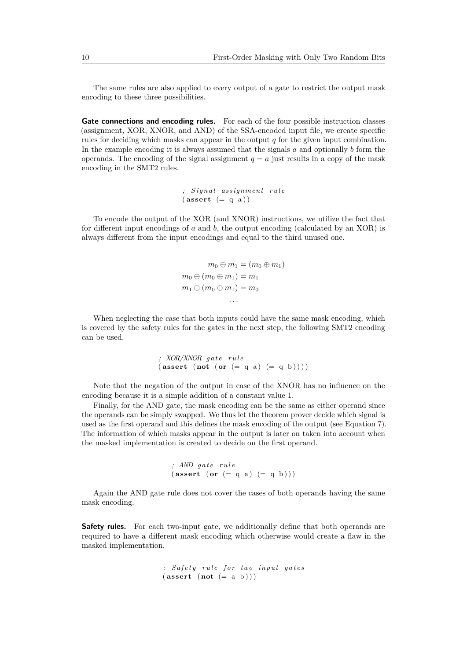The same rules are also applied to every output of a gate to restrict the output mask encoding to these three possibilities.

Gate connections and encoding rules. For each of the four possible instruction classes (assignment, XOR, XNOR, and AND) of the SSA-encoded input file, we create specific rules for deciding which masks can appear in the output *q* for the given input combination. In the example encoding it is always assumed that the signals *a* and optionally *b* form the operands. The encoding of the signal assignment  $q = a$  just results in a copy of the mask encoding in the SMT2 rules.

> *; S i g n a l a s s ignmen t r u l e*  $(\text{assert} (= q a))$

To encode the output of the XOR (and XNOR) instructions, we utilize the fact that for different input encodings of *a* and *b*, the output encoding (calculated by an XOR) is always different from the input encodings and equal to the third unused one.

> $m_0 \oplus m_1 = (m_0 \oplus m_1)$  $m_0 \oplus (m_0 \oplus m_1) = m_1$  $m_1 \oplus (m_0 \oplus m_1) = m_0$ *. . .*

When neglecting the case that both inputs could have the same mask encoding, which is covered by the safety rules for the gates in the next step, the following SMT2 encoding can be used.

> *; XOR/XNOR g a t e r u l e*  $(\text{assert} (\text{not} (\text{or} (= q a) (= q b))))$

Note that the negation of the output in case of the XNOR has no influence on the encoding because it is a simple addition of a constant value 1.

Finally, for the AND gate, the mask encoding can be the same as either operand since the operands can be simply swapped. We thus let the theorem prover decide which signal is used as the first operand and this defines the mask encoding of the output (see Equation [7\)](#page-7-1). The information of which masks appear in the output is later on taken into account when the masked implementation is created to decide on the first operand.

```
; AND g a t e r u l e
(\textbf{assert} \ (\textbf{or} \ (= q a) \ (= q b)))
```
Again the AND gate rule does not cover the cases of both operands having the same mask encoding.

**Safety rules.** For each two-input gate, we additionally define that both operands are required to have a different mask encoding which otherwise would create a flaw in the masked implementation.

> *; S a f e t y r u l e f o r two i n p u t g a t e s*  $(\text{assert} (\text{not} (= a b)))$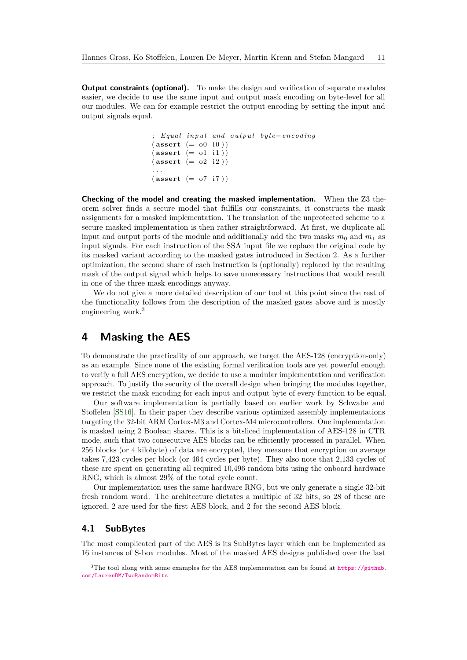**Output constraints (optional).** To make the design and verification of separate modules easier, we decide to use the same input and output mask encoding on byte-level for all our modules. We can for example restrict the output encoding by setting the input and output signals equal.

```
; Equal input and output byte−encoding
(\textbf{assert} (= 00 i0))(\textbf{assert} (= o1 \text{ i}1))(\textbf{assert} (= 02 \text{ i } 2)). . .
(\text{assert} (= o7 i7))
```
**Checking of the model and creating the masked implementation.** When the Z3 theorem solver finds a secure model that fulfills our constraints, it constructs the mask assignments for a masked implementation. The translation of the unprotected scheme to a secure masked implementation is then rather straightforward. At first, we duplicate all input and output ports of the module and additionally add the two masks  $m_0$  and  $m_1$  as input signals. For each instruction of the SSA input file we replace the original code by its masked variant according to the masked gates introduced in Section [2.](#page-2-0) As a further optimization, the second share of each instruction is (optionally) replaced by the resulting mask of the output signal which helps to save unnecessary instructions that would result in one of the three mask encodings anyway.

We do not give a more detailed description of our tool at this point since the rest of the functionality follows from the description of the masked gates above and is mostly engineering work.[3](#page-10-1)

# <span id="page-10-0"></span>**4 Masking the AES**

To demonstrate the practicality of our approach, we target the AES-128 (encryption-only) as an example. Since none of the existing formal verification tools are yet powerful enough to verify a full AES encryption, we decide to use a modular implementation and verification approach. To justify the security of the overall design when bringing the modules together, we restrict the mask encoding for each input and output byte of every function to be equal.

Our software implementation is partially based on earlier work by Schwabe and Stoffelen [\[SS16\]](#page-24-6). In their paper they describe various optimized assembly implementations targeting the 32-bit ARM Cortex-M3 and Cortex-M4 microcontrollers. One implementation is masked using 2 Boolean shares. This is a bitsliced implementation of AES-128 in CTR mode, such that two consecutive AES blocks can be efficiently processed in parallel. When 256 blocks (or 4 kilobyte) of data are encrypted, they measure that encryption on average takes 7,423 cycles per block (or 464 cycles per byte). They also note that 2,133 cycles of these are spent on generating all required 10,496 random bits using the onboard hardware RNG, which is almost 29% of the total cycle count.

Our implementation uses the same hardware RNG, but we only generate a single 32-bit fresh random word. The architecture dictates a multiple of 32 bits, so 28 of these are ignored, 2 are used for the first AES block, and 2 for the second AES block.

### **4.1 SubBytes**

The most complicated part of the AES is its SubBytes layer which can be implemented as 16 instances of S-box modules. Most of the masked AES designs published over the last

<span id="page-10-1"></span> $3$ The tool along with some examples for the AES implementation can be found at [https://github.](https://github.com/LaurenDM/TwoRandomBits) [com/LaurenDM/TwoRandomBits](https://github.com/LaurenDM/TwoRandomBits)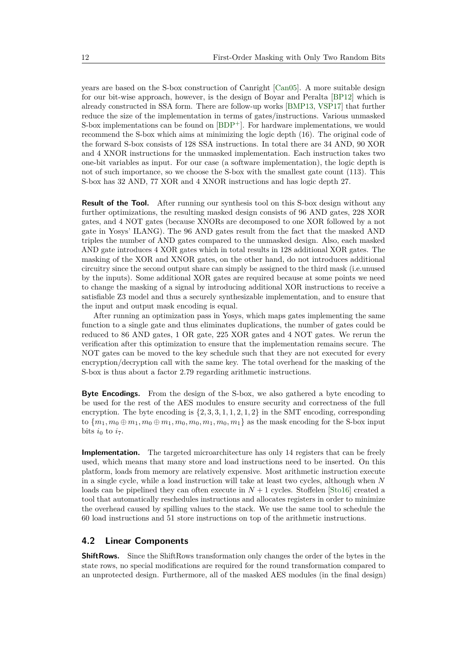years are based on the S-box construction of Canright [\[Can05\]](#page-22-4). A more suitable design for our bit-wise approach, however, is the design of Boyar and Peralta [\[BP12\]](#page-22-5) which is already constructed in SSA form. There are follow-up works [\[BMP13,](#page-22-6) [VSP17\]](#page-25-0) that further reduce the size of the implementation in terms of gates/instructions. Various unmasked S-box implementations can be found on  $[BDP^+]$  $[BDP^+]$ . For hardware implementations, we would recommend the S-box which aims at minimizing the logic depth (16). The original code of the forward S-box consists of 128 SSA instructions. In total there are 34 AND, 90 XOR and 4 XNOR instructions for the unmasked implementation. Each instruction takes two one-bit variables as input. For our case (a software implementation), the logic depth is not of such importance, so we choose the S-box with the smallest gate count (113). This S-box has 32 AND, 77 XOR and 4 XNOR instructions and has logic depth 27.

**Result of the Tool.** After running our synthesis tool on this S-box design without any further optimizations, the resulting masked design consists of 96 AND gates, 228 XOR gates, and 4 NOT gates (because XNORs are decomposed to one XOR followed by a not gate in Yosys' ILANG). The 96 AND gates result from the fact that the masked AND triples the number of AND gates compared to the unmasked design. Also, each masked AND gate introduces 4 XOR gates which in total results in 128 additional XOR gates. The masking of the XOR and XNOR gates, on the other hand, do not introduces additional circuitry since the second output share can simply be assigned to the third mask (i.e.unused by the inputs). Some additional XOR gates are required because at some points we need to change the masking of a signal by introducing additional XOR instructions to receive a satisfiable Z3 model and thus a securely synthesizable implementation, and to ensure that the input and output mask encoding is equal.

After running an optimization pass in Yosys, which maps gates implementing the same function to a single gate and thus eliminates duplications, the number of gates could be reduced to 86 AND gates, 1 OR gate, 225 XOR gates and 4 NOT gates. We rerun the verification after this optimization to ensure that the implementation remains secure. The NOT gates can be moved to the key schedule such that they are not executed for every encryption/decryption call with the same key. The total overhead for the masking of the S-box is thus about a factor 2.79 regarding arithmetic instructions.

**Byte Encodings.** From the design of the S-box, we also gathered a byte encoding to be used for the rest of the AES modules to ensure security and correctness of the full encryption. The byte encoding is  $\{2, 3, 3, 1, 1, 2, 1, 2\}$  in the SMT encoding, corresponding to  ${m_1, m_0 \oplus m_1, m_0 \oplus m_1, m_0, m_0, m_1, m_0, m_1}$  as the mask encoding for the S-box input bits  $i_0$  to  $i_7$ .

**Implementation.** The targeted microarchitecture has only 14 registers that can be freely used, which means that many store and load instructions need to be inserted. On this platform, loads from memory are relatively expensive. Most arithmetic instruction execute in a single cycle, while a load instruction will take at least two cycles, although when *N* loads can be pipelined they can often execute in  $N+1$  cycles. Stoffelen [\[Sto16\]](#page-24-7) created a tool that automatically reschedules instructions and allocates registers in order to minimize the overhead caused by spilling values to the stack. We use the same tool to schedule the 60 load instructions and 51 store instructions on top of the arithmetic instructions.

### **4.2 Linear Components**

**ShiftRows.** Since the ShiftRows transformation only changes the order of the bytes in the state rows, no special modifications are required for the round transformation compared to an unprotected design. Furthermore, all of the masked AES modules (in the final design)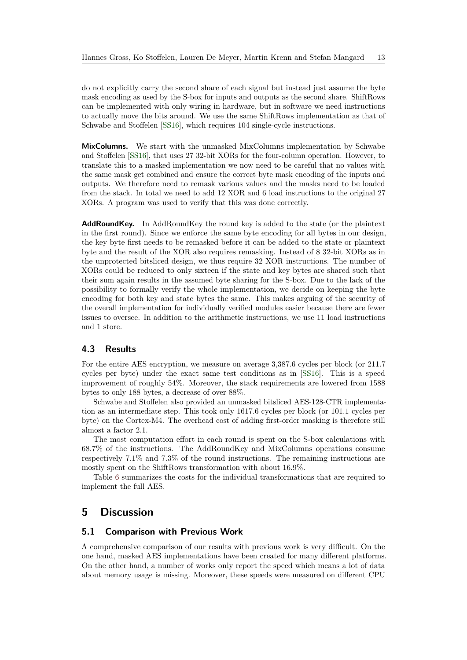do not explicitly carry the second share of each signal but instead just assume the byte mask encoding as used by the S-box for inputs and outputs as the second share. ShiftRows can be implemented with only wiring in hardware, but in software we need instructions to actually move the bits around. We use the same ShiftRows implementation as that of Schwabe and Stoffelen [\[SS16\]](#page-24-6), which requires 104 single-cycle instructions.

**MixColumns.** We start with the unmasked MixColumns implementation by Schwabe and Stoffelen [\[SS16\]](#page-24-6), that uses 27 32-bit XORs for the four-column operation. However, to translate this to a masked implementation we now need to be careful that no values with the same mask get combined and ensure the correct byte mask encoding of the inputs and outputs. We therefore need to remask various values and the masks need to be loaded from the stack. In total we need to add 12 XOR and 6 load instructions to the original 27 XORs. A program was used to verify that this was done correctly.

**AddRoundKey.** In AddRoundKey the round key is added to the state (or the plaintext in the first round). Since we enforce the same byte encoding for all bytes in our design, the key byte first needs to be remasked before it can be added to the state or plaintext byte and the result of the XOR also requires remasking. Instead of 8 32-bit XORs as in the unprotected bitsliced design, we thus require 32 XOR instructions. The number of XORs could be reduced to only sixteen if the state and key bytes are shared such that their sum again results in the assumed byte sharing for the S-box. Due to the lack of the possibility to formally verify the whole implementation, we decide on keeping the byte encoding for both key and state bytes the same. This makes arguing of the security of the overall implementation for individually verified modules easier because there are fewer issues to oversee. In addition to the arithmetic instructions, we use 11 load instructions and 1 store.

## <span id="page-12-0"></span>**4.3 Results**

For the entire AES encryption, we measure on average 3,387.6 cycles per block (or 211.7 cycles per byte) under the exact same test conditions as in [\[SS16\]](#page-24-6). This is a speed improvement of roughly 54%. Moreover, the stack requirements are lowered from 1588 bytes to only 188 bytes, a decrease of over 88%.

Schwabe and Stoffelen also provided an unmasked bitsliced AES-128-CTR implementation as an intermediate step. This took only 1617.6 cycles per block (or 101.1 cycles per byte) on the Cortex-M4. The overhead cost of adding first-order masking is therefore still almost a factor 2.1.

The most computation effort in each round is spent on the S-box calculations with 68.7% of the instructions. The AddRoundKey and MixColumns operations consume respectively 7.1% and 7.3% of the round instructions. The remaining instructions are mostly spent on the ShiftRows transformation with about 16.9%.

Table [6](#page-13-0) summarizes the costs for the individual transformations that are required to implement the full AES.

# **5 Discussion**

## **5.1 Comparison with Previous Work**

A comprehensive comparison of our results with previous work is very difficult. On the one hand, masked AES implementations have been created for many different platforms. On the other hand, a number of works only report the speed which means a lot of data about memory usage is missing. Moreover, these speeds were measured on different CPU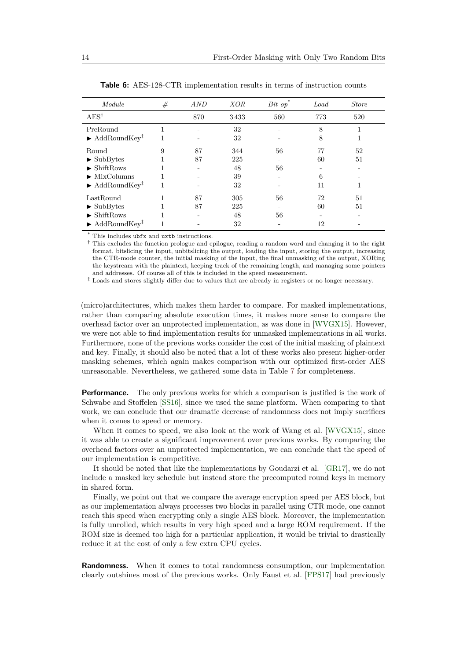<span id="page-13-0"></span>

| Module                                         | # | AND | <b>XOR</b> | $Bit$ op | Load | <b>Store</b> |  |
|------------------------------------------------|---|-----|------------|----------|------|--------------|--|
| $AES^{\dagger}$                                |   | 870 | 3433       | 560      | 773  | 520          |  |
| PreRound                                       |   |     | 32         |          | 8    |              |  |
| $\blacktriangleright$ AddRoundKey <sup>‡</sup> | 1 |     | 32         |          | 8    |              |  |
| Round                                          | 9 | 87  | 344        | 56       | 77   | 52           |  |
| $\blacktriangleright$ SubBytes                 |   | 87  | 225        |          | 60   | 51           |  |
| $\blacktriangleright$ ShiftRows                |   |     | 48         | 56       |      |              |  |
| $\blacktriangleright$ MixColumns               |   |     | 39         |          | 6    |              |  |
| $\blacktriangleright$ AddRoundKey <sup>‡</sup> |   |     | 32         |          | 11   |              |  |
| LastRound                                      | 1 | 87  | 305        | 56       | 72   | 51           |  |
| $\blacktriangleright$ SubBytes                 |   | 87  | 225        |          | 60   | 51           |  |
| $\blacktriangleright$ ShiftRows                |   |     | 48         | 56       |      |              |  |
| $\blacktriangleright$ AddRoundKey <sup>‡</sup> |   |     | 32         |          | 12   |              |  |

**Table 6:** AES-128-CTR implementation results in terms of instruction counts

\* This includes ubfx and uxtb instructions.

† This excludes the function prologue and epilogue, reading a random word and changing it to the right format, bitslicing the input, unbitslicing the output, loading the input, storing the output, increasing the CTR-mode counter, the initial masking of the input, the final unmasking of the output, XORing the keystream with the plaintext, keeping track of the remaining length, and managing some pointers and addresses. Of course all of this is included in the speed measurement.

 $^\ddag$  Loads and stores slightly differ due to values that are already in registers or no longer necessary.

(micro)architectures, which makes them harder to compare. For masked implementations, rather than comparing absolute execution times, it makes more sense to compare the overhead factor over an unprotected implementation, as was done in [\[WVGX15\]](#page-25-1). However, we were not able to find implementation results for unmasked implementations in all works. Furthermore, none of the previous works consider the cost of the initial masking of plaintext and key. Finally, it should also be noted that a lot of these works also present higher-order masking schemes, which again makes comparison with our optimized first-order AES unreasonable. Nevertheless, we gathered some data in Table [7](#page-14-0) for completeness.

**Performance.** The only previous works for which a comparison is justified is the work of Schwabe and Stoffelen [\[SS16\]](#page-24-6), since we used the same platform. When comparing to that work, we can conclude that our dramatic decrease of randomness does not imply sacrifices when it comes to speed or memory.

When it comes to speed, we also look at the work of Wang et al. [\[WVGX15\]](#page-25-1), since it was able to create a significant improvement over previous works. By comparing the overhead factors over an unprotected implementation, we can conclude that the speed of our implementation is competitive.

It should be noted that like the implementations by Goudarzi et al. [\[GR17\]](#page-23-11), we do not include a masked key schedule but instead store the precomputed round keys in memory in shared form.

Finally, we point out that we compare the average encryption speed per AES block, but as our implementation always processes two blocks in parallel using CTR mode, one cannot reach this speed when encrypting only a single AES block. Moreover, the implementation is fully unrolled, which results in very high speed and a large ROM requirement. If the ROM size is deemed too high for a particular application, it would be trivial to drastically reduce it at the cost of only a few extra CPU cycles.

**Randomness.** When it comes to total randomness consumption, our implementation clearly outshines most of the previous works. Only Faust et al. [\[FPS17\]](#page-23-9) had previously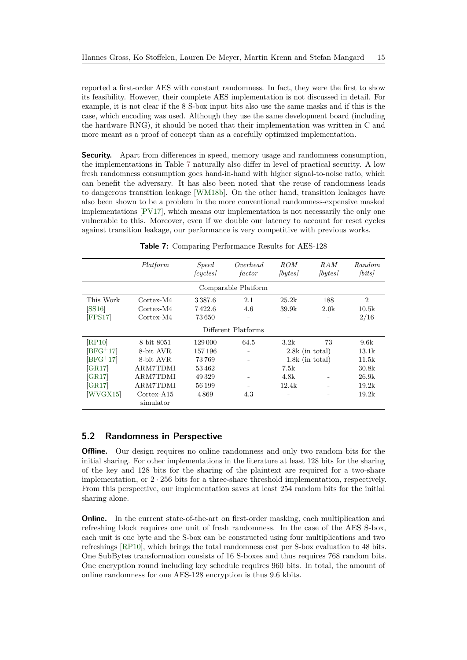reported a first-order AES with constant randomness. In fact, they were the first to show its feasibility. However, their complete AES implementation is not discussed in detail. For example, it is not clear if the 8 S-box input bits also use the same masks and if this is the case, which encoding was used. Although they use the same development board (including the hardware RNG), it should be noted that their implementation was written in C and more meant as a proof of concept than as a carefully optimized implementation.

**Security.** Apart from differences in speed, memory usage and randomness consumption, the implementations in Table [7](#page-14-0) naturally also differ in level of practical security. A low fresh randomness consumption goes hand-in-hand with higher signal-to-noise ratio, which can benefit the adversary. It has also been noted that the reuse of randomness leads to dangerous transition leakage [\[WM18b\]](#page-25-2). On the other hand, transition leakages have also been shown to be a problem in the more conventional randomness-expensive masked implementations [\[PV17\]](#page-24-3), which means our implementation is not necessarily the only one vulnerable to this. Moreover, even if we double our latency to account for reset cycles against transition leakage, our performance is very competitive with previous works.

<span id="page-14-0"></span>

|                     | Platform               | <i>Speed</i><br>(cycles) | Overhead<br>factor | <i>ROM</i><br>[bytes] | RAM<br>[bytes] | Random<br>$\vert bits \vert$ |  |  |  |  |  |  |
|---------------------|------------------------|--------------------------|--------------------|-----------------------|----------------|------------------------------|--|--|--|--|--|--|
| Comparable Platform |                        |                          |                    |                       |                |                              |  |  |  |  |  |  |
| This Work           | Cortex-M4              | 3387.6                   | 2.1                | 25.2k                 | 188            | $\overline{2}$               |  |  |  |  |  |  |
| [SS16]              | Cortex-M4              | 7422.6                   | 4.6                | 39.9k                 | 2.0k           | 10.5k                        |  |  |  |  |  |  |
| FPS17               | $\text{Cortex-M4}$     | 73650                    |                    |                       |                | 2/16                         |  |  |  |  |  |  |
| Different Platforms |                        |                          |                    |                       |                |                              |  |  |  |  |  |  |
| [RP10]              | 8-bit 8051             | 129 000                  | 64.5               | 3.2k                  | 73             | 9.6k                         |  |  |  |  |  |  |
| $\rm [BFG^{+}17]$   | 8-bit AVR              | 157196                   |                    | $2.8k$ (in total)     |                | 13.1k                        |  |  |  |  |  |  |
| $[BFG+17]$          | 8-bit AVR              | 73769                    |                    | $1.8k$ (in total)     |                | 11.5k                        |  |  |  |  |  |  |
| $\left[GR17\right]$ | ARM7TDMI               | 53462                    |                    | 7.5k                  |                | 30.8k                        |  |  |  |  |  |  |
| [GR17]              | <b>ARM7TDMI</b>        | 49329                    |                    | 4.8k                  |                | 26.9k                        |  |  |  |  |  |  |
| [GR17]              | <b>ARM7TDMI</b>        | 56 199                   |                    | 12.4k                 |                | 19.2k                        |  |  |  |  |  |  |
| WVGX15              | Cortex-A <sub>15</sub> | 4869                     | 4.3                |                       |                | 19.2k                        |  |  |  |  |  |  |
|                     | simulator              |                          |                    |                       |                |                              |  |  |  |  |  |  |

**Table 7:** Comparing Performance Results for AES-128

## **5.2 Randomness in Perspective**

**Offline.** Our design requires no online randomness and only two random bits for the initial sharing. For other implementations in the literature at least 128 bits for the sharing of the key and 128 bits for the sharing of the plaintext are required for a two-share implementation, or 2 · 256 bits for a three-share threshold implementation, respectively. From this perspective, our implementation saves at least 254 random bits for the initial sharing alone.

**Online.** In the current state-of-the-art on first-order masking, each multiplication and refreshing block requires one unit of fresh randomness. In the case of the AES S-box, each unit is one byte and the S-box can be constructed using four multiplications and two refreshings [\[RP10\]](#page-24-8), which brings the total randomness cost per S-box evaluation to 48 bits. One SubBytes transformation consists of 16 S-boxes and thus requires 768 random bits. One encryption round including key schedule requires 960 bits. In total, the amount of online randomness for one AES-128 encryption is thus 9.6 kbits.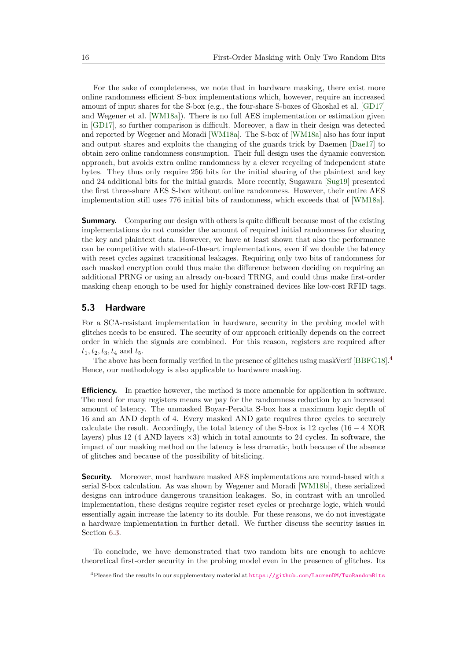For the sake of completeness, we note that in hardware masking, there exist more online randomness efficient S-box implementations which, however, require an increased amount of input shares for the S-box (e.g., the four-share S-boxes of Ghoshal et al. [\[GD17\]](#page-23-7) and Wegener et al. [\[WM18a\]](#page-25-3)). There is no full AES implementation or estimation given in [\[GD17\]](#page-23-7), so further comparison is difficult. Moreover, a flaw in their design was detected and reported by Wegener and Moradi [\[WM18a\]](#page-25-3). The S-box of [\[WM18a\]](#page-25-3) also has four input and output shares and exploits the changing of the guards trick by Daemen [\[Dae17\]](#page-22-7) to obtain zero online randomness consumption. Their full design uses the dynamic conversion approach, but avoids extra online randomness by a clever recycling of independent state bytes. They thus only require 256 bits for the initial sharing of the plaintext and key and 24 additional bits for the initial guards. More recently, Sugawara [\[Sug19\]](#page-24-4) presented the first three-share AES S-box without online randomness. However, their entire AES implementation still uses 776 initial bits of randomness, which exceeds that of [\[WM18a\]](#page-25-3).

**Summary.** Comparing our design with others is quite difficult because most of the existing implementations do not consider the amount of required initial randomness for sharing the key and plaintext data. However, we have at least shown that also the performance can be competitive with state-of-the-art implementations, even if we double the latency with reset cycles against transitional leakages. Requiring only two bits of randomness for each masked encryption could thus make the difference between deciding on requiring an additional PRNG or using an already on-board TRNG, and could thus make first-order masking cheap enough to be used for highly constrained devices like low-cost RFID tags.

## **5.3 Hardware**

For a SCA-resistant implementation in hardware, security in the probing model with glitches needs to be ensured. The security of our approach critically depends on the correct order in which the signals are combined. For this reason, registers are required after  $t_1, t_2, t_3, t_4$  and  $t_5$ .

The above has been formally verified in the presence of glitches using maskVerif [\[BBFG18\]](#page-21-4).[4](#page-15-0) Hence, our methodology is also applicable to hardware masking.

**Efficiency.** In practice however, the method is more amenable for application in software. The need for many registers means we pay for the randomness reduction by an increased amount of latency. The unmasked Boyar-Peralta S-box has a maximum logic depth of 16 and an AND depth of 4. Every masked AND gate requires three cycles to securely calculate the result. Accordingly, the total latency of the S-box is 12 cycles  $(16 - 4 \text{ XOR})$ layers) plus 12 (4 AND layers  $\times$ 3) which in total amounts to 24 cycles. In software, the impact of our masking method on the latency is less dramatic, both because of the absence of glitches and because of the possibility of bitslicing.

**Security.** Moreover, most hardware masked AES implementations are round-based with a serial S-box calculation. As was shown by Wegener and Moradi [\[WM18b\]](#page-25-2), these serialized designs can introduce dangerous transition leakages. So, in contrast with an unrolled implementation, these designs require register reset cycles or precharge logic, which would essentially again increase the latency to its double. For these reasons, we do not investigate a hardware implementation in further detail. We further discuss the security issues in Section [6.3.](#page-19-0)

To conclude, we have demonstrated that two random bits are enough to achieve theoretical first-order security in the probing model even in the presence of glitches. Its

<span id="page-15-0"></span><sup>4</sup>Please find the results in our supplementary material at <https://github.com/LaurenDM/TwoRandomBits>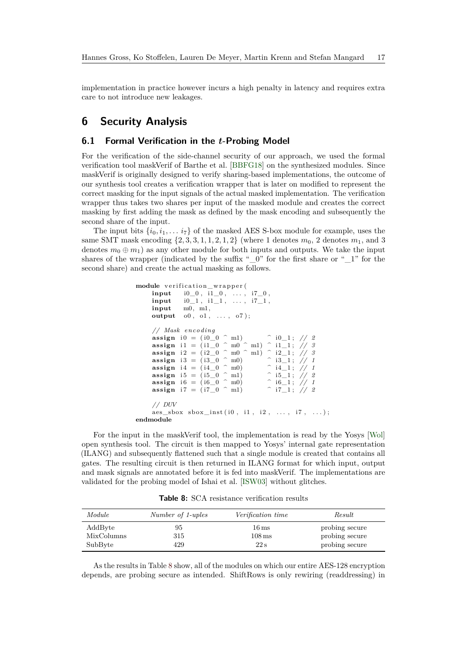implementation in practice however incurs a high penalty in latency and requires extra care to not introduce new leakages.

# **6 Security Analysis**

## <span id="page-16-0"></span>**6.1 Formal Verification in the** *t***-Probing Model**

For the verification of the side-channel security of our approach, we used the formal verification tool maskVerif of Barthe et al. [\[BBFG18\]](#page-21-4) on the synthesized modules. Since maskVerif is originally designed to verify sharing-based implementations, the outcome of our synthesis tool creates a verification wrapper that is later on modified to represent the correct masking for the input signals of the actual masked implementation. The verification wrapper thus takes two shares per input of the masked module and creates the correct masking by first adding the mask as defined by the mask encoding and subsequently the second share of the input.

The input bits  $\{i_0, i_1, \ldots, i_7\}$  of the masked AES S-box module for example, uses the same SMT mask encoding  $\{2, 3, 3, 1, 1, 2, 1, 2\}$  (where 1 denotes  $m_0$ , 2 denotes  $m_1$ , and 3 denotes  $m_0 \oplus m_1$ ) as any other module for both inputs and outputs. We take the input shares of the wrapper (indicated by the suffix " $\,0$ " for the first share or " $\,1$ " for the second share) and create the actual masking as follows.

```
module verification_wrapper (
      \textbf{input} \qquad \text{i0\_0} \; , \; \; \text{i1\_0} \; , \; \; \; \ldots \; , \; \; \text{i7\_0} \; ,input i0_1, i1_1, ..., i7_1,
      input m0, m1,
      output o0, o1, ..., o7);
       // Mask enco d ing
       assign i 0 = (i 0_0 ^ m1) ^ i0_1; // 2
       \textbf{assign i1 = } ( \text{i1\_0} \,\, \text{^{\,\circ}} \,\, \text{m0} \,\, \text{^{\,\circ}} \,\, \text{m1}) \,\, \text{^{\,\circ}} \,\, \text{i1\_1} \,; \,\, \textit{//} \,\, \textit{5}assign i2 = (i2_0 ^ m0 ^ m1) ^ i2_1; // 3
       assign i3 = (i3_0 ^ m0) ^ i3_1; // 1
       assign 13 - (19 - 0) mo)<br>
assign 14 = (14 - 0) mo)<br>
assign 15 = (15 - 0) mo 15 - 1; 1/2<br>
assign 16 = (16 - 0) mo 16 - 1; 1/1assign i5 = (i5_0 ^ m1) ^ i5_1; // 2
       assign i6 = (i6_0 ^ m0) ^ i6_1; // 1
       assign i7 = (i7_0 ^ m1) ^ i7_1; // 2
       // DUV
      \text{aes\_sbox} \text{ sbox}_\text{inst} (i0 \, , \, i1 \, , \, i2 \, , \, \ldots \, , \, i7 \, , \, \ldots ) \, ;endmodule
```
For the input in the maskVerif tool, the implementation is read by the Yosys [\[Wol\]](#page-25-4) open synthesis tool. The circuit is then mapped to Yosys' internal gate representation (ILANG) and subsequently flattened such that a single module is created that contains all gates. The resulting circuit is then returned in ILANG format for which input, output and mask signals are annotated before it is fed into maskVerif. The implementations are validated for the probing model of Ishai et al. [\[ISW03\]](#page-23-1) without glitches.

**Table 8:** SCA resistance verification results

<span id="page-16-1"></span>

| Module     | Number of 1-uples | <i>Verification time</i> | Result         |
|------------|-------------------|--------------------------|----------------|
| AddByte    | 95                | $16\,\mathrm{ms}$        | probing secure |
| MixColumns | 315               | $108 \,\mathrm{ms}$      | probing secure |
| SubByte    | 429               | 22s                      | probing secure |

As the results in Table [8](#page-16-1) show, all of the modules on which our entire AES-128 encryption depends, are probing secure as intended. ShiftRows is only rewiring (readdressing) in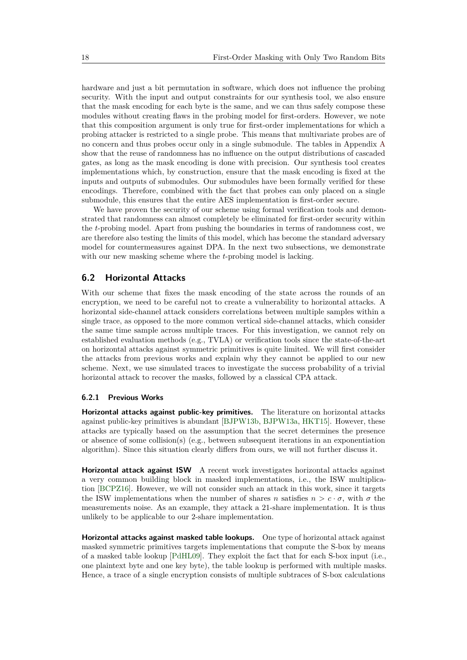hardware and just a bit permutation in software, which does not influence the probing security. With the input and output constraints for our synthesis tool, we also ensure that the mask encoding for each byte is the same, and we can thus safely compose these modules without creating flaws in the probing model for first-orders. However, we note that this composition argument is only true for first-order implementations for which a probing attacker is restricted to a single probe. This means that multivariate probes are of no concern and thus probes occur only in a single submodule. The tables in Appendix [A](#page-26-0) show that the reuse of randomness has no influence on the output distributions of cascaded gates, as long as the mask encoding is done with precision. Our synthesis tool creates implementations which, by construction, ensure that the mask encoding is fixed at the inputs and outputs of submodules. Our submodules have been formally verified for these encodings. Therefore, combined with the fact that probes can only placed on a single submodule, this ensures that the entire AES implementation is first-order secure.

We have proven the security of our scheme using formal verification tools and demonstrated that randomness can almost completely be eliminated for first-order security within the *t*-probing model. Apart from pushing the boundaries in terms of randomness cost, we are therefore also testing the limits of this model, which has become the standard adversary model for countermeasures against DPA. In the next two subsections, we demonstrate with our new masking scheme where the *t*-probing model is lacking.

## **6.2 Horizontal Attacks**

With our scheme that fixes the mask encoding of the state across the rounds of an encryption, we need to be careful not to create a vulnerability to horizontal attacks. A horizontal side-channel attack considers correlations between multiple samples within a single trace, as opposed to the more common vertical side-channel attacks, which consider the same time sample across multiple traces. For this investigation, we cannot rely on established evaluation methods (e.g., TVLA) or verification tools since the state-of-the-art on horizontal attacks against symmetric primitives is quite limited. We will first consider the attacks from previous works and explain why they cannot be applied to our new scheme. Next, we use simulated traces to investigate the success probability of a trivial horizontal attack to recover the masks, followed by a classical CPA attack.

#### **6.2.1 Previous Works**

**Horizontal attacks against public-key primitives.** The literature on horizontal attacks against public-key primitives is abundant [\[BJPW13b,](#page-22-8) [BJPW13a,](#page-22-9) [HKT15\]](#page-23-12). However, these attacks are typically based on the assumption that the secret determines the presence or absence of some collision(s) (e.g., between subsequent iterations in an exponentiation algorithm). Since this situation clearly differs from ours, we will not further discuss it.

**Horizontal attack against ISW** A recent work investigates horizontal attacks against a very common building block in masked implementations, i.e., the ISW multiplication [\[BCPZ16\]](#page-21-7). However, we will not consider such an attack in this work, since it targets the ISW implementations when the number of shares *n* satisfies  $n > c \cdot \sigma$ , with  $\sigma$  the measurements noise. As an example, they attack a 21-share implementation. It is thus unlikely to be applicable to our 2-share implementation.

**Horizontal attacks against masked table lookups.** One type of horizontal attack against masked symmetric primitives targets implementations that compute the S-box by means of a masked table lookup [\[PdHL09\]](#page-24-9). They exploit the fact that for each S-box input (i.e., one plaintext byte and one key byte), the table lookup is performed with multiple masks. Hence, a trace of a single encryption consists of multiple subtraces of S-box calculations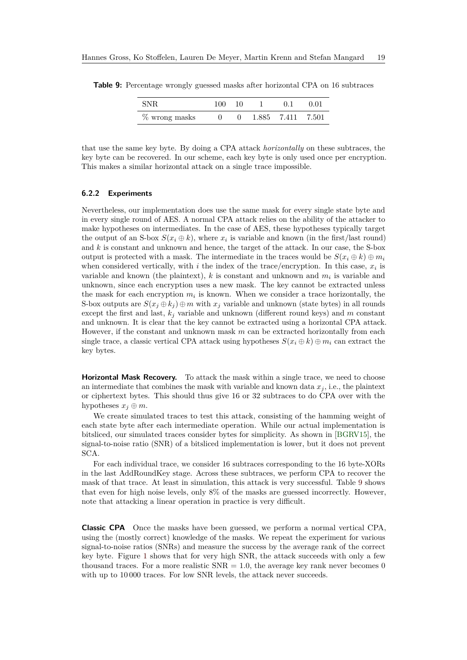| SNR           | 100- | 10           | 0.1               | 0.01 |
|---------------|------|--------------|-------------------|------|
| % wrong masks |      | $\mathbf{U}$ | 1.885 7.411 7.501 |      |

<span id="page-18-0"></span>**Table 9:** Percentage wrongly guessed masks after horizontal CPA on 16 subtraces

that use the same key byte. By doing a CPA attack *horizontally* on these subtraces, the key byte can be recovered. In our scheme, each key byte is only used once per encryption. This makes a similar horizontal attack on a single trace impossible.

### **6.2.2 Experiments**

Nevertheless, our implementation does use the same mask for every single state byte and in every single round of AES. A normal CPA attack relies on the ability of the attacker to make hypotheses on intermediates. In the case of AES, these hypotheses typically target the output of an S-box  $S(x_i \oplus k)$ , where  $x_i$  is variable and known (in the first/last round) and *k* is constant and unknown and hence, the target of the attack. In our case, the S-box output is protected with a mask. The intermediate in the traces would be  $S(x_i \oplus k) \oplus m_i$ when considered vertically, with  $i$  the index of the trace/encryption. In this case,  $x_i$  is variable and known (the plaintext), *k* is constant and unknown and *m<sup>i</sup>* is variable and unknown, since each encryption uses a new mask. The key cannot be extracted unless the mask for each encryption  $m_i$  is known. When we consider a trace horizontally, the S-box outputs are  $S(x_j \oplus k_j) \oplus m$  with  $x_j$  variable and unknown (state bytes) in all rounds except the first and last,  $k_j$  variable and unknown (different round keys) and  $m$  constant and unknown. It is clear that the key cannot be extracted using a horizontal CPA attack. However, if the constant and unknown mask *m* can be extracted horizontally from each single trace, a classic vertical CPA attack using hypotheses  $S(x_i \oplus k) \oplus m_i$  can extract the key bytes.

**Horizontal Mask Recovery.** To attack the mask within a single trace, we need to choose an intermediate that combines the mask with variable and known data  $x_j$ , i.e., the plaintext or ciphertext bytes. This should thus give 16 or 32 subtraces to do CPA over with the hypotheses  $x_j \oplus m$ .

We create simulated traces to test this attack, consisting of the hamming weight of each state byte after each intermediate operation. While our actual implementation is bitsliced, our simulated traces consider bytes for simplicity. As shown in [\[BGRV15\]](#page-22-10), the signal-to-noise ratio (SNR) of a bitsliced implementation is lower, but it does not prevent SCA.

For each individual trace, we consider 16 subtraces corresponding to the 16 byte-XORs in the last AddRoundKey stage. Across these subtraces, we perform CPA to recover the mask of that trace. At least in simulation, this attack is very successful. Table [9](#page-18-0) shows that even for high noise levels, only 8% of the masks are guessed incorrectly. However, note that attacking a linear operation in practice is very difficult.

**Classic CPA** Once the masks have been guessed, we perform a normal vertical CPA, using the (mostly correct) knowledge of the masks. We repeat the experiment for various signal-to-noise ratios (SNRs) and measure the success by the average rank of the correct key byte. Figure [1](#page-19-1) shows that for very high SNR, the attack succeeds with only a few thousand traces. For a more realistic  $SNR = 1.0$ , the average key rank never becomes 0 with up to 10000 traces. For low SNR levels, the attack never succeeds.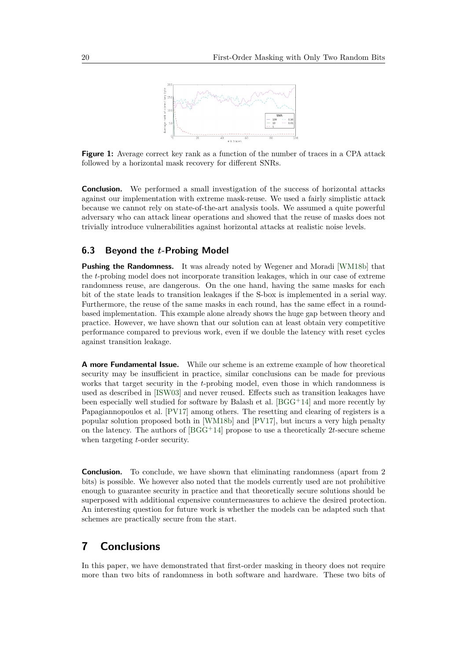

<span id="page-19-1"></span>**Figure 1:** Average correct key rank as a function of the number of traces in a CPA attack followed by a horizontal mask recovery for different SNRs.

**Conclusion.** We performed a small investigation of the success of horizontal attacks against our implementation with extreme mask-reuse. We used a fairly simplistic attack because we cannot rely on state-of-the-art analysis tools. We assumed a quite powerful adversary who can attack linear operations and showed that the reuse of masks does not trivially introduce vulnerabilities against horizontal attacks at realistic noise levels.

### <span id="page-19-0"></span>**6.3 Beyond the** *t***-Probing Model**

**Pushing the Randomness.** It was already noted by Wegener and Moradi [\[WM18b\]](#page-25-2) that the *t*-probing model does not incorporate transition leakages, which in our case of extreme randomness reuse, are dangerous. On the one hand, having the same masks for each bit of the state leads to transition leakages if the S-box is implemented in a serial way. Furthermore, the reuse of the same masks in each round, has the same effect in a roundbased implementation. This example alone already shows the huge gap between theory and practice. However, we have shown that our solution can at least obtain very competitive performance compared to previous work, even if we double the latency with reset cycles against transition leakage.

**A more Fundamental Issue.** While our scheme is an extreme example of how theoretical security may be insufficient in practice, similar conclusions can be made for previous works that target security in the *t*-probing model, even those in which randomness is used as described in [\[ISW03\]](#page-23-1) and never reused. Effects such as transition leakages have been especially well studied for software by Balash et al. [\[BGG](#page-22-2)<sup>+</sup>14] and more recently by Papagiannopoulos et al. [\[PV17\]](#page-24-3) among others. The resetting and clearing of registers is a popular solution proposed both in [\[WM18b\]](#page-25-2) and [\[PV17\]](#page-24-3), but incurs a very high penalty on the latency. The authors of  $[BGG+14]$  $[BGG+14]$  propose to use a theoretically 2*t*-secure scheme when targeting *t*-order security.

**Conclusion.** To conclude, we have shown that eliminating randomness (apart from 2) bits) is possible. We however also noted that the models currently used are not prohibitive enough to guarantee security in practice and that theoretically secure solutions should be superposed with additional expensive countermeasures to achieve the desired protection. An interesting question for future work is whether the models can be adapted such that schemes are practically secure from the start.

# **7 Conclusions**

In this paper, we have demonstrated that first-order masking in theory does not require more than two bits of randomness in both software and hardware. These two bits of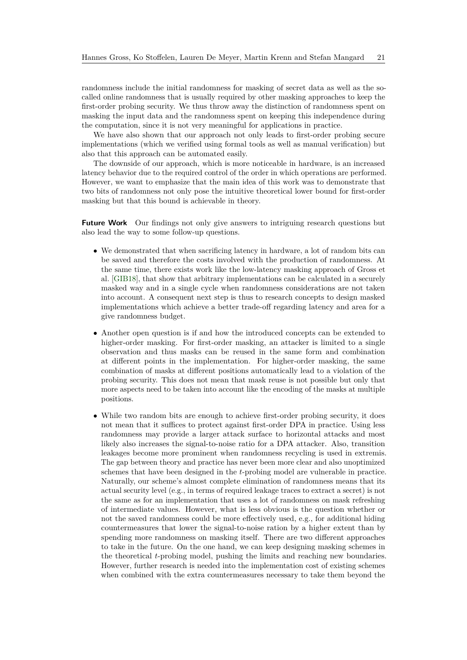randomness include the initial randomness for masking of secret data as well as the socalled online randomness that is usually required by other masking approaches to keep the first-order probing security. We thus throw away the distinction of randomness spent on masking the input data and the randomness spent on keeping this independence during the computation, since it is not very meaningful for applications in practice.

We have also shown that our approach not only leads to first-order probing secure implementations (which we verified using formal tools as well as manual verification) but also that this approach can be automated easily.

The downside of our approach, which is more noticeable in hardware, is an increased latency behavior due to the required control of the order in which operations are performed. However, we want to emphasize that the main idea of this work was to demonstrate that two bits of randomness not only pose the intuitive theoretical lower bound for first-order masking but that this bound is achievable in theory.

**Future Work** Our findings not only give answers to intriguing research questions but also lead the way to some follow-up questions.

- We demonstrated that when sacrificing latency in hardware, a lot of random bits can be saved and therefore the costs involved with the production of randomness. At the same time, there exists work like the low-latency masking approach of Gross et al. [\[GIB18\]](#page-23-3), that show that arbitrary implementations can be calculated in a securely masked way and in a single cycle when randomness considerations are not taken into account. A consequent next step is thus to research concepts to design masked implementations which achieve a better trade-off regarding latency and area for a give randomness budget.
- Another open question is if and how the introduced concepts can be extended to higher-order masking. For first-order masking, an attacker is limited to a single observation and thus masks can be reused in the same form and combination at different points in the implementation. For higher-order masking, the same combination of masks at different positions automatically lead to a violation of the probing security. This does not mean that mask reuse is not possible but only that more aspects need to be taken into account like the encoding of the masks at multiple positions.
- While two random bits are enough to achieve first-order probing security, it does not mean that it suffices to protect against first-order DPA in practice. Using less randomness may provide a larger attack surface to horizontal attacks and most likely also increases the signal-to-noise ratio for a DPA attacker. Also, transition leakages become more prominent when randomness recycling is used in extremis. The gap between theory and practice has never been more clear and also unoptimized schemes that have been designed in the *t*-probing model are vulnerable in practice. Naturally, our scheme's almost complete elimination of randomness means that its actual security level (e.g., in terms of required leakage traces to extract a secret) is not the same as for an implementation that uses a lot of randomness on mask refreshing of intermediate values. However, what is less obvious is the question whether or not the saved randomness could be more effectively used, e.g., for additional hiding countermeasures that lower the signal-to-noise ration by a higher extent than by spending more randomness on masking itself. There are two different approaches to take in the future. On the one hand, we can keep designing masking schemes in the theoretical *t*-probing model, pushing the limits and reaching new boundaries. However, further research is needed into the implementation cost of existing schemes when combined with the extra countermeasures necessary to take them beyond the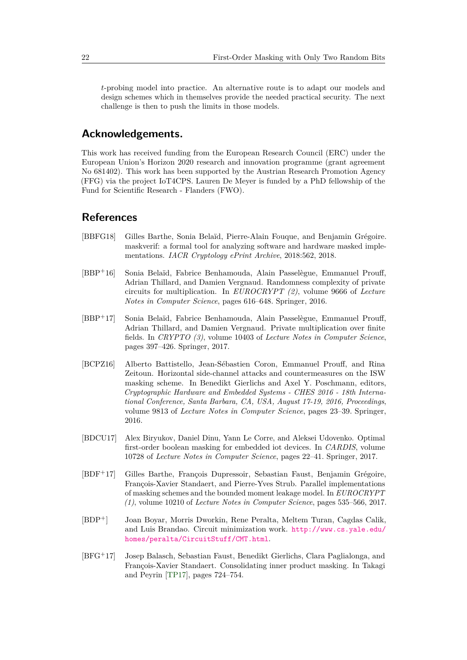*t*-probing model into practice. An alternative route is to adapt our models and design schemes which in themselves provide the needed practical security. The next challenge is then to push the limits in those models.

# **Acknowledgements.**

This work has received funding from the European Research Council (ERC) under the European Union's Horizon 2020 research and innovation programme (grant agreement No 681402). This work has been supported by the Austrian Research Promotion Agency (FFG) via the project IoT4CPS. Lauren De Meyer is funded by a PhD fellowship of the Fund for Scientific Research - Flanders (FWO).

# **References**

- <span id="page-21-4"></span>[BBFG18] Gilles Barthe, Sonia Belaïd, Pierre-Alain Fouque, and Benjamin Grégoire. maskverif: a formal tool for analyzing software and hardware masked implementations. *IACR Cryptology ePrint Archive*, 2018:562, 2018.
- <span id="page-21-1"></span>[BBP<sup>+</sup>16] Sonia Belaïd, Fabrice Benhamouda, Alain Passelègue, Emmanuel Prouff, Adrian Thillard, and Damien Vergnaud. Randomness complexity of private circuits for multiplication. In *EUROCRYPT (2)*, volume 9666 of *Lecture Notes in Computer Science*, pages 616–648. Springer, 2016.
- <span id="page-21-2"></span>[BBP<sup>+</sup>17] Sonia Belaïd, Fabrice Benhamouda, Alain Passelègue, Emmanuel Prouff, Adrian Thillard, and Damien Vergnaud. Private multiplication over finite fields. In *CRYPTO (3)*, volume 10403 of *Lecture Notes in Computer Science*, pages 397–426. Springer, 2017.
- <span id="page-21-7"></span>[BCPZ16] Alberto Battistello, Jean-Sébastien Coron, Emmanuel Prouff, and Rina Zeitoun. Horizontal side-channel attacks and countermeasures on the ISW masking scheme. In Benedikt Gierlichs and Axel Y. Poschmann, editors, *Cryptographic Hardware and Embedded Systems - CHES 2016 - 18th International Conference, Santa Barbara, CA, USA, August 17-19, 2016, Proceedings*, volume 9813 of *Lecture Notes in Computer Science*, pages 23–39. Springer, 2016.
- <span id="page-21-3"></span>[BDCU17] Alex Biryukov, Daniel Dinu, Yann Le Corre, and Aleksei Udovenko. Optimal first-order boolean masking for embedded iot devices. In *CARDIS*, volume 10728 of *Lecture Notes in Computer Science*, pages 22–41. Springer, 2017.
- <span id="page-21-0"></span>[BDF<sup>+</sup>17] Gilles Barthe, François Dupressoir, Sebastian Faust, Benjamin Grégoire, François-Xavier Standaert, and Pierre-Yves Strub. Parallel implementations of masking schemes and the bounded moment leakage model. In *EUROCRYPT (1)*, volume 10210 of *Lecture Notes in Computer Science*, pages 535–566, 2017.
- <span id="page-21-5"></span>[BDP<sup>+</sup>] Joan Boyar, Morris Dworkin, Rene Peralta, Meltem Turan, Cagdas Calik, and Luis Brandao. Circuit minimization work. [http://www.cs.yale.edu/](http://www.cs.yale.edu/homes/peralta/CircuitStuff/CMT.html) [homes/peralta/CircuitStuff/CMT.html](http://www.cs.yale.edu/homes/peralta/CircuitStuff/CMT.html).
- <span id="page-21-6"></span>[BFG<sup>+</sup>17] Josep Balasch, Sebastian Faust, Benedikt Gierlichs, Clara Paglialonga, and François-Xavier Standaert. Consolidating inner product masking. In Takagi and Peyrin [\[TP17\]](#page-25-5), pages 724–754.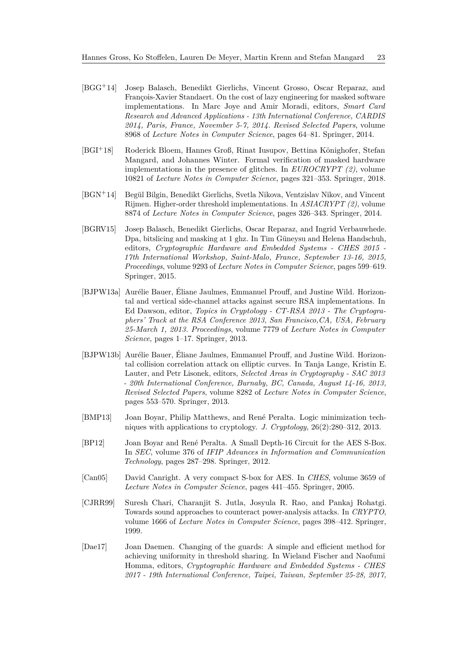- <span id="page-22-2"></span>[BGG<sup>+</sup>14] Josep Balasch, Benedikt Gierlichs, Vincent Grosso, Oscar Reparaz, and François-Xavier Standaert. On the cost of lazy engineering for masked software implementations. In Marc Joye and Amir Moradi, editors, *Smart Card Research and Advanced Applications - 13th International Conference, CARDIS 2014, Paris, France, November 5-7, 2014. Revised Selected Papers*, volume 8968 of *Lecture Notes in Computer Science*, pages 64–81. Springer, 2014.
- <span id="page-22-3"></span>[BGI<sup>+</sup>18] Roderick Bloem, Hannes Groß, Rinat Iusupov, Bettina Könighofer, Stefan Mangard, and Johannes Winter. Formal verification of masked hardware implementations in the presence of glitches. In *EUROCRYPT (2)*, volume 10821 of *Lecture Notes in Computer Science*, pages 321–353. Springer, 2018.
- <span id="page-22-1"></span>[BGN<sup>+</sup>14] Begül Bilgin, Benedikt Gierlichs, Svetla Nikova, Ventzislav Nikov, and Vincent Rijmen. Higher-order threshold implementations. In *ASIACRYPT (2)*, volume 8874 of *Lecture Notes in Computer Science*, pages 326–343. Springer, 2014.
- <span id="page-22-10"></span>[BGRV15] Josep Balasch, Benedikt Gierlichs, Oscar Reparaz, and Ingrid Verbauwhede. Dpa, bitslicing and masking at 1 ghz. In Tim Güneysu and Helena Handschuh, editors, *Cryptographic Hardware and Embedded Systems - CHES 2015 - 17th International Workshop, Saint-Malo, France, September 13-16, 2015, Proceedings*, volume 9293 of *Lecture Notes in Computer Science*, pages 599–619. Springer, 2015.
- <span id="page-22-9"></span>[BJPW13a] Aurélie Bauer, Éliane Jaulmes, Emmanuel Prouff, and Justine Wild. Horizontal and vertical side-channel attacks against secure RSA implementations. In Ed Dawson, editor, *Topics in Cryptology - CT-RSA 2013 - The Cryptographers' Track at the RSA Conference 2013, San Francisco,CA, USA, February 25-March 1, 2013. Proceedings*, volume 7779 of *Lecture Notes in Computer Science*, pages 1–17. Springer, 2013.
- <span id="page-22-8"></span>[BJPW13b] Aurélie Bauer, Éliane Jaulmes, Emmanuel Prouff, and Justine Wild. Horizontal collision correlation attack on elliptic curves. In Tanja Lange, Kristin E. Lauter, and Petr Lisonek, editors, *Selected Areas in Cryptography - SAC 2013 - 20th International Conference, Burnaby, BC, Canada, August 14-16, 2013, Revised Selected Papers*, volume 8282 of *Lecture Notes in Computer Science*, pages 553–570. Springer, 2013.
- <span id="page-22-6"></span>[BMP13] Joan Boyar, Philip Matthews, and René Peralta. Logic minimization techniques with applications to cryptology. *J. Cryptology*, 26(2):280–312, 2013.
- <span id="page-22-5"></span>[BP12] Joan Boyar and René Peralta. A Small Depth-16 Circuit for the AES S-Box. In *SEC*, volume 376 of *IFIP Advances in Information and Communication Technology*, pages 287–298. Springer, 2012.
- <span id="page-22-4"></span>[Can05] David Canright. A very compact S-box for AES. In *CHES*, volume 3659 of *Lecture Notes in Computer Science*, pages 441–455. Springer, 2005.
- <span id="page-22-0"></span>[CJRR99] Suresh Chari, Charanjit S. Jutla, Josyula R. Rao, and Pankaj Rohatgi. Towards sound approaches to counteract power-analysis attacks. In *CRYPTO*, volume 1666 of *Lecture Notes in Computer Science*, pages 398–412. Springer, 1999.
- <span id="page-22-7"></span>[Dae17] Joan Daemen. Changing of the guards: A simple and efficient method for achieving uniformity in threshold sharing. In Wieland Fischer and Naofumi Homma, editors, *Cryptographic Hardware and Embedded Systems - CHES 2017 - 19th International Conference, Taipei, Taiwan, September 25-28, 2017,*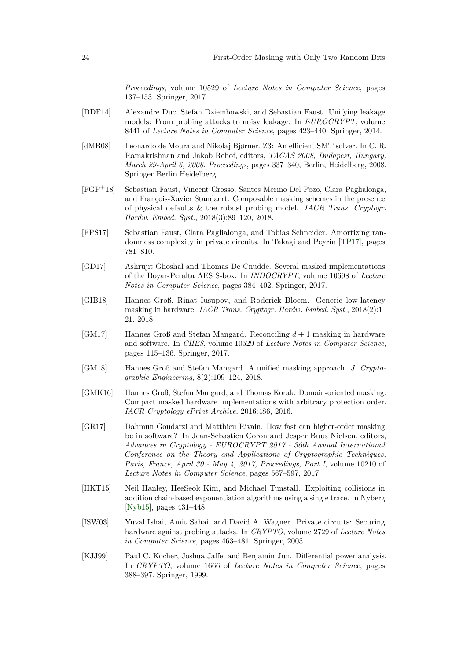*Proceedings*, volume 10529 of *Lecture Notes in Computer Science*, pages 137–153. Springer, 2017.

- <span id="page-23-2"></span>[DDF14] Alexandre Duc, Stefan Dziembowski, and Sebastian Faust. Unifying leakage models: From probing attacks to noisy leakage. In *EUROCRYPT*, volume 8441 of *Lecture Notes in Computer Science*, pages 423–440. Springer, 2014.
- <span id="page-23-10"></span>[dMB08] Leonardo de Moura and Nikolaj Bjørner. Z3: An efficient SMT solver. In C. R. Ramakrishnan and Jakob Rehof, editors, *TACAS 2008, Budapest, Hungary, March 29-April 6, 2008. Proceedings*, pages 337–340, Berlin, Heidelberg, 2008. Springer Berlin Heidelberg.
- <span id="page-23-6"></span>[FGP<sup>+</sup>18] Sebastian Faust, Vincent Grosso, Santos Merino Del Pozo, Clara Paglialonga, and François-Xavier Standaert. Composable masking schemes in the presence of physical defaults & the robust probing model. *IACR Trans. Cryptogr. Hardw. Embed. Syst.*, 2018(3):89–120, 2018.
- <span id="page-23-9"></span>[FPS17] Sebastian Faust, Clara Paglialonga, and Tobias Schneider. Amortizing randomness complexity in private circuits. In Takagi and Peyrin [\[TP17\]](#page-25-5), pages 781–810.
- <span id="page-23-7"></span>[GD17] Ashrujit Ghoshal and Thomas De Cnudde. Several masked implementations of the Boyar-Peralta AES S-box. In *INDOCRYPT*, volume 10698 of *Lecture Notes in Computer Science*, pages 384–402. Springer, 2017.
- <span id="page-23-3"></span>[GIB18] Hannes Groß, Rinat Iusupov, and Roderick Bloem. Generic low-latency masking in hardware. *IACR Trans. Cryptogr. Hardw. Embed. Syst.*, 2018(2):1– 21, 2018.
- <span id="page-23-4"></span>[GM17] Hannes Groß and Stefan Mangard. Reconciling *d* + 1 masking in hardware and software. In *CHES*, volume 10529 of *Lecture Notes in Computer Science*, pages 115–136. Springer, 2017.
- <span id="page-23-8"></span>[GM18] Hannes Groß and Stefan Mangard. A unified masking approach. *J. Cryptographic Engineering*, 8(2):109–124, 2018.
- <span id="page-23-5"></span>[GMK16] Hannes Groß, Stefan Mangard, and Thomas Korak. Domain-oriented masking: Compact masked hardware implementations with arbitrary protection order. *IACR Cryptology ePrint Archive*, 2016:486, 2016.
- <span id="page-23-11"></span>[GR17] Dahmun Goudarzi and Matthieu Rivain. How fast can higher-order masking be in software? In Jean-Sébastien Coron and Jesper Buus Nielsen, editors, *Advances in Cryptology - EUROCRYPT 2017 - 36th Annual International Conference on the Theory and Applications of Cryptographic Techniques, Paris, France, April 30 - May 4, 2017, Proceedings, Part I*, volume 10210 of *Lecture Notes in Computer Science*, pages 567–597, 2017.
- <span id="page-23-12"></span>[HKT15] Neil Hanley, HeeSeok Kim, and Michael Tunstall. Exploiting collisions in addition chain-based exponentiation algorithms using a single trace. In Nyberg [\[Nyb15\]](#page-24-10), pages 431–448.
- <span id="page-23-1"></span>[ISW03] Yuval Ishai, Amit Sahai, and David A. Wagner. Private circuits: Securing hardware against probing attacks. In *CRYPTO*, volume 2729 of *Lecture Notes in Computer Science*, pages 463–481. Springer, 2003.
- <span id="page-23-0"></span>[KJJ99] Paul C. Kocher, Joshua Jaffe, and Benjamin Jun. Differential power analysis. In *CRYPTO*, volume 1666 of *Lecture Notes in Computer Science*, pages 388–397. Springer, 1999.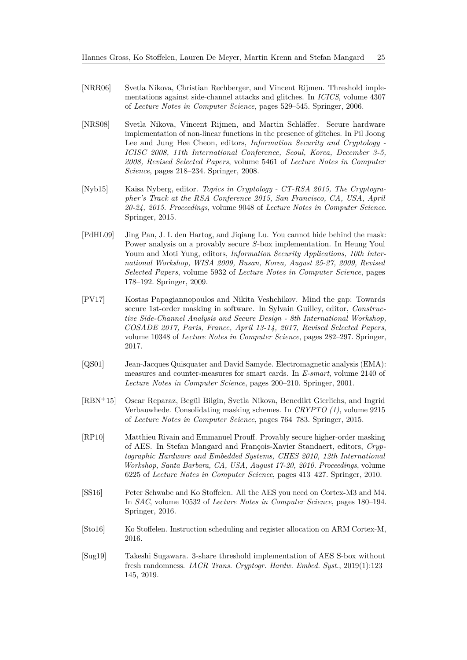- <span id="page-24-1"></span>[NRR06] Svetla Nikova, Christian Rechberger, and Vincent Rijmen. Threshold implementations against side-channel attacks and glitches. In *ICICS*, volume 4307 of *Lecture Notes in Computer Science*, pages 529–545. Springer, 2006.
- <span id="page-24-5"></span>[NRS08] Svetla Nikova, Vincent Rijmen, and Martin Schläffer. Secure hardware implementation of non-linear functions in the presence of glitches. In Pil Joong Lee and Jung Hee Cheon, editors, *Information Security and Cryptology - ICISC 2008, 11th International Conference, Seoul, Korea, December 3-5, 2008, Revised Selected Papers*, volume 5461 of *Lecture Notes in Computer Science*, pages 218–234. Springer, 2008.
- <span id="page-24-10"></span>[Nyb15] Kaisa Nyberg, editor. *Topics in Cryptology - CT-RSA 2015, The Cryptographer's Track at the RSA Conference 2015, San Francisco, CA, USA, April 20-24, 2015. Proceedings*, volume 9048 of *Lecture Notes in Computer Science*. Springer, 2015.
- <span id="page-24-9"></span>[PdHL09] Jing Pan, J. I. den Hartog, and Jiqiang Lu. You cannot hide behind the mask: Power analysis on a provably secure *S*-box implementation. In Heung Youl Youm and Moti Yung, editors, *Information Security Applications, 10th International Workshop, WISA 2009, Busan, Korea, August 25-27, 2009, Revised Selected Papers*, volume 5932 of *Lecture Notes in Computer Science*, pages 178–192. Springer, 2009.
- <span id="page-24-3"></span>[PV17] Kostas Papagiannopoulos and Nikita Veshchikov. Mind the gap: Towards secure 1st-order masking in software. In Sylvain Guilley, editor, *Constructive Side-Channel Analysis and Secure Design - 8th International Workshop, COSADE 2017, Paris, France, April 13-14, 2017, Revised Selected Papers*, volume 10348 of *Lecture Notes in Computer Science*, pages 282–297. Springer, 2017.
- <span id="page-24-0"></span>[QS01] Jean-Jacques Quisquater and David Samyde. Electromagnetic analysis (EMA): measures and counter-measures for smart cards. In *E-smart*, volume 2140 of *Lecture Notes in Computer Science*, pages 200–210. Springer, 2001.
- <span id="page-24-2"></span>[RBN<sup>+</sup>15] Oscar Reparaz, Begül Bilgin, Svetla Nikova, Benedikt Gierlichs, and Ingrid Verbauwhede. Consolidating masking schemes. In *CRYPTO (1)*, volume 9215 of *Lecture Notes in Computer Science*, pages 764–783. Springer, 2015.
- <span id="page-24-8"></span>[RP10] Matthieu Rivain and Emmanuel Prouff. Provably secure higher-order masking of AES. In Stefan Mangard and François-Xavier Standaert, editors, *Cryptographic Hardware and Embedded Systems, CHES 2010, 12th International Workshop, Santa Barbara, CA, USA, August 17-20, 2010. Proceedings*, volume 6225 of *Lecture Notes in Computer Science*, pages 413–427. Springer, 2010.
- <span id="page-24-6"></span>[SS16] Peter Schwabe and Ko Stoffelen. All the AES you need on Cortex-M3 and M4. In *SAC*, volume 10532 of *Lecture Notes in Computer Science*, pages 180–194. Springer, 2016.
- <span id="page-24-7"></span>[Sto16] Ko Stoffelen. Instruction scheduling and register allocation on ARM Cortex-M, 2016.
- <span id="page-24-4"></span>[Sug19] Takeshi Sugawara. 3-share threshold implementation of AES S-box without fresh randomness. *IACR Trans. Cryptogr. Hardw. Embed. Syst.*, 2019(1):123– 145, 2019.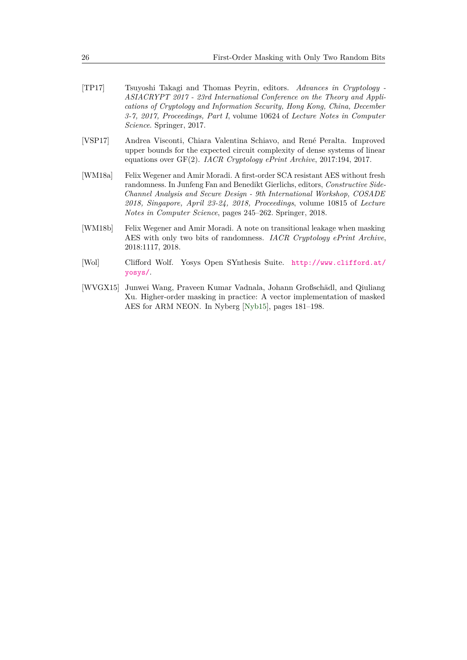- <span id="page-25-5"></span>[TP17] Tsuyoshi Takagi and Thomas Peyrin, editors. *Advances in Cryptology - ASIACRYPT 2017 - 23rd International Conference on the Theory and Applications of Cryptology and Information Security, Hong Kong, China, December 3-7, 2017, Proceedings, Part I*, volume 10624 of *Lecture Notes in Computer Science*. Springer, 2017.
- <span id="page-25-0"></span>[VSP17] Andrea Visconti, Chiara Valentina Schiavo, and René Peralta. Improved upper bounds for the expected circuit complexity of dense systems of linear equations over GF(2). *IACR Cryptology ePrint Archive*, 2017:194, 2017.
- <span id="page-25-3"></span>[WM18a] Felix Wegener and Amir Moradi. A first-order SCA resistant AES without fresh randomness. In Junfeng Fan and Benedikt Gierlichs, editors, *Constructive Side-Channel Analysis and Secure Design - 9th International Workshop, COSADE 2018, Singapore, April 23-24, 2018, Proceedings*, volume 10815 of *Lecture Notes in Computer Science*, pages 245–262. Springer, 2018.
- <span id="page-25-2"></span>[WM18b] Felix Wegener and Amir Moradi. A note on transitional leakage when masking AES with only two bits of randomness. *IACR Cryptology ePrint Archive*, 2018:1117, 2018.
- <span id="page-25-4"></span>[Wol] Clifford Wolf. Yosys Open SYnthesis Suite. [http://www.clifford.at/](http://www.clifford.at/yosys/) [yosys/](http://www.clifford.at/yosys/).
- <span id="page-25-1"></span>[WVGX15] Junwei Wang, Praveen Kumar Vadnala, Johann Großschädl, and Qiuliang Xu. Higher-order masking in practice: A vector implementation of masked AES for ARM NEON. In Nyberg [\[Nyb15\]](#page-24-10), pages 181–198.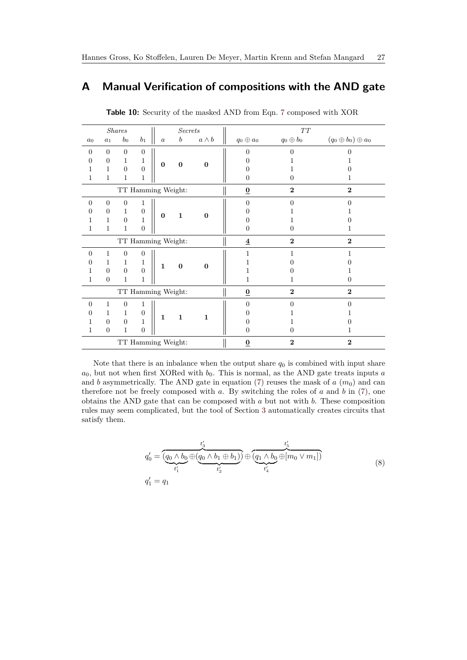# <span id="page-26-0"></span>**A Manual Verification of compositions with the AND gate**

|                    |                | <i>Shares</i>  |                  |                    | <b>Secrets</b>   |              |                         | $\cal TT$       |                               |
|--------------------|----------------|----------------|------------------|--------------------|------------------|--------------|-------------------------|-----------------|-------------------------------|
| $a_0$              | $a_1$          | $b_0$          | $b_1$            | $\boldsymbol{a}$   | $\boldsymbol{b}$ | $a \wedge b$ | $q_0\oplus a_0$         | $q_0\oplus b_0$ | $(q_0 \oplus b_0) \oplus a_0$ |
| $\Omega$           | $\overline{0}$ | $\overline{0}$ | $\overline{0}$   |                    |                  |              | 0                       | $\mathbf{0}$    |                               |
| $\Omega$           | $\Omega$       | $\mathbf{1}$   | $\mathbf{1}$     | $\bf{0}$           | $\bf{0}$         | $\bf{0}$     |                         |                 |                               |
|                    | 1              | $\overline{0}$ | $\overline{0}$   |                    |                  |              | 0                       |                 |                               |
| 1                  | 1              | 1              | $\mathbf{1}$     |                    |                  |              | $\Omega$                | $\theta$        | 1                             |
| TT Hamming Weight: |                |                |                  |                    |                  |              | $\underline{0}$         | $\overline{2}$  | $\bf{2}$                      |
| $\overline{0}$     | $\overline{0}$ | $\Omega$       | $\mathbf 1$      |                    |                  |              | $\Omega$                | ∩               | ∩                             |
| 0                  | $\Omega$       | $\mathbf{1}$   | $\boldsymbol{0}$ | $\bf{0}$           | $\mathbf{1}$     | $\mathbf{0}$ | 0                       |                 |                               |
| 1                  | 1              | $\overline{0}$ | $\mathbf{1}$     |                    |                  |              |                         |                 |                               |
| $\mathbf{1}$       | $\mathbf{1}$   | 1              | $\overline{0}$   |                    |                  |              | $\Omega$                | 0               | 1                             |
|                    |                |                |                  | TT Hamming Weight: |                  |              | $\overline{\mathbf{4}}$ | $\mathbf{2}$    | $\mathbf{2}$                  |
| $\overline{0}$     | $\mathbf{1}$   | $\Omega$       | $\overline{0}$   |                    |                  |              | 1                       | 1               | 1                             |
| $\theta$           | 1              | $\mathbf{1}$   | $\mathbf 1$      | $\mathbf{1}$       | $\boldsymbol{0}$ | $\bf{0}$     |                         |                 |                               |
| 1                  | $\Omega$       | $\theta$       | $\overline{0}$   |                    |                  |              |                         |                 | 1                             |
| 1                  | $\overline{0}$ | 1              | 1                |                    |                  |              | 1                       |                 | $\overline{0}$                |
|                    |                |                |                  | TT Hamming Weight: |                  |              | $\underline{0}$         | $\bf{2}$        | $\overline{2}$                |
| $\overline{0}$     | 1              | $\overline{0}$ | $\mathbf 1$      |                    |                  |              | $\Omega$                | ∩               | $\Omega$                      |
| $\theta$           | 1              | $\mathbf{1}$   | $\boldsymbol{0}$ | $\mathbf{1}$       | $\mathbf{1}$     | $\mathbf{1}$ |                         |                 |                               |
| 1                  | $\Omega$       | $\Omega$       | 1                |                    |                  |              | 0                       |                 |                               |
| 1                  | $\overline{0}$ | 1              | $\theta$         |                    |                  |              | $\Omega$                | 0               | 1                             |
|                    |                |                |                  | TT Hamming Weight: |                  |              | $\underline{0}$         | $\mathbf{2}$    | $\overline{2}$                |

**Table 10:** Security of the masked AND from Eqn. [7](#page-7-1) composed with XOR

Note that there is an inbalance when the output share  $q_0$  is combined with input share  $a_0$ , but not when first XORed with  $b_0$ . This is normal, as the AND gate treats inputs  $a$ and *b* asymmetrically. The AND gate in equation [\(7\)](#page-7-1) reuses the mask of  $a$  ( $m_0$ ) and can therefore not be freely composed with *a*. By switching the roles of *a* and *b* in [\(7\)](#page-7-1), one obtains the AND gate that can be composed with *a* but not with *b*. These composition rules may seem complicated, but the tool of Section [3](#page-8-0) automatically creates circuits that satisfy them.

<span id="page-26-1"></span>
$$
q'_{0} = \underbrace{(q_{0} \land b_{0} \oplus (q_{0} \land b_{1} \oplus b_{1}))}_{t'_{1}} \oplus \underbrace{(q_{1} \land b_{0} \oplus [m_{0} \lor m_{1}])}_{t'_{4}}
$$
\n
$$
q'_{1} = q_{1}
$$
\n(8)